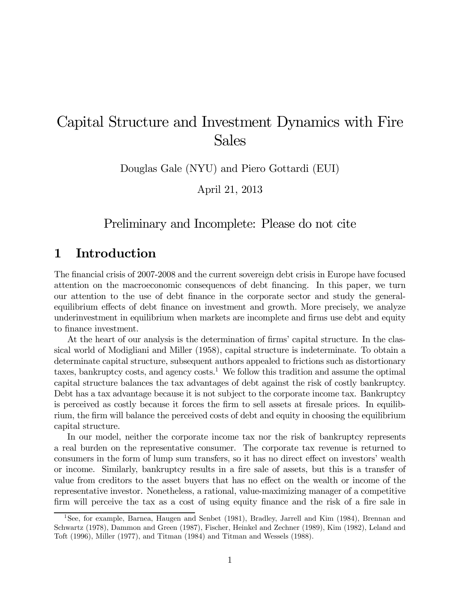# Capital Structure and Investment Dynamics with Fire Sales

Douglas Gale (NYU) and Piero Gottardi (EUI)

April 21, 2013

# Preliminary and Incomplete: Please do not cite

# 1 Introduction

The financial crisis of 2007-2008 and the current sovereign debt crisis in Europe have focused attention on the macroeconomic consequences of debt financing. In this paper, we turn our attention to the use of debt finance in the corporate sector and study the generalequilibrium effects of debt finance on investment and growth. More precisely, we analyze underinvestment in equilibrium when markets are incomplete and firms use debt and equity to finance investment.

At the heart of our analysis is the determination of firms' capital structure. In the classical world of Modigliani and Miller (1958), capital structure is indeterminate. To obtain a determinate capital structure, subsequent authors appealed to frictions such as distortionary taxes, bankruptcy costs, and agency  $\cos t s$ .<sup>1</sup> We follow this tradition and assume the optimal capital structure balances the tax advantages of debt against the risk of costly bankruptcy. Debt has a tax advantage because it is not subject to the corporate income tax. Bankruptcy is perceived as costly because it forces the firm to sell assets at firesale prices. In equilibrium, the firm will balance the perceived costs of debt and equity in choosing the equilibrium capital structure.

In our model, neither the corporate income tax nor the risk of bankruptcy represents a real burden on the representative consumer. The corporate tax revenue is returned to consumers in the form of lump sum transfers, so it has no direct effect on investors' wealth or income. Similarly, bankruptcy results in a fire sale of assets, but this is a transfer of value from creditors to the asset buyers that has no effect on the wealth or income of the representative investor. Nonetheless, a rational, value-maximizing manager of a competitive firm will perceive the tax as a cost of using equity finance and the risk of a fire sale in

<sup>1</sup>See, for example, Barnea, Haugen and Senbet (1981), Bradley, Jarrell and Kim (1984), Brennan and Schwartz (1978), Dammon and Green (1987), Fischer, Heinkel and Zechner (1989), Kim (1982), Leland and Toft (1996), Miller (1977), and Titman (1984) and Titman and Wessels (1988).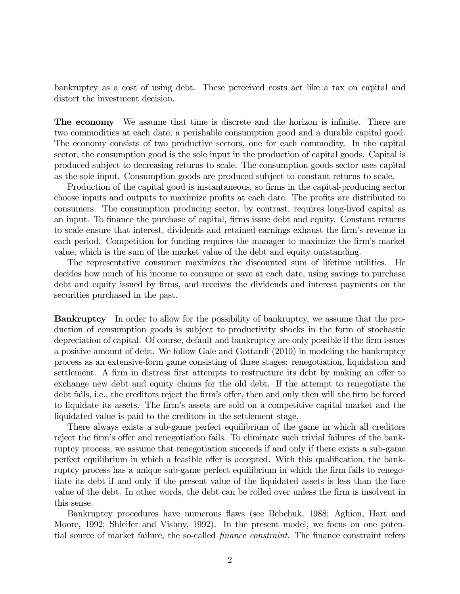bankruptcy as a cost of using debt. These perceived costs act like a tax on capital and distort the investment decision.

The economy We assume that time is discrete and the horizon is infinite. There are two commodities at each date, a perishable consumption good and a durable capital good. The economy consists of two productive sectors, one for each commodity. In the capital sector, the consumption good is the sole input in the production of capital goods. Capital is produced subject to decreasing returns to scale. The consumption goods sector uses capital as the sole input. Consumption goods are produced subject to constant returns to scale.

Production of the capital good is instantaneous, so firms in the capital-producing sector choose inputs and outputs to maximize profits at each date. The profits are distributed to consumers. The consumption producing sector, by contrast, requires long-lived capital as an input. To finance the purchase of capital, firms issue debt and equity. Constant returns to scale ensure that interest, dividends and retained earnings exhaust the firm's revenue in each period. Competition for funding requires the manager to maximize the firm's market value, which is the sum of the market value of the debt and equity outstanding.

The representative consumer maximizes the discounted sum of lifetime utilities. He decides how much of his income to consume or save at each date, using savings to purchase debt and equity issued by firms, and receives the dividends and interest payments on the securities purchased in the past.

Bankruptcy In order to allow for the possibility of bankruptcy, we assume that the production of consumption goods is subject to productivity shocks in the form of stochastic depreciation of capital. Of course, default and bankruptcy are only possible if the firm issues a positive amount of debt. We follow Gale and Gottardi (2010) in modeling the bankruptcy process as an extensive-form game consisting of three stages: renegotiation, liquidation and settlement. A firm in distress first attempts to restructure its debt by making an offer to exchange new debt and equity claims for the old debt. If the attempt to renegotiate the debt fails, i.e., the creditors reject the firm's offer, then and only then will the firm be forced to liquidate its assets. The firm's assets are sold on a competitive capital market and the liquidated value is paid to the creditors in the settlement stage.

There always exists a sub-game perfect equilibrium of the game in which all creditors reject the firm's offer and renegotiation fails. To eliminate such trivial failures of the bankruptcy process, we assume that renegotiation succeeds if and only if there exists a sub-game perfect equilibrium in which a feasible offer is accepted. With this qualification, the bankruptcy process has a unique sub-game perfect equilibrium in which the firm fails to renegotiate its debt if and only if the present value of the liquidated assets is less than the face value of the debt. In other words, the debt can be rolled over unless the firm is insolvent in this sense.

Bankruptcy procedures have numerous flaws (see Bebchuk, 1988; Aghion, Hart and Moore, 1992; Shleifer and Vishny, 1992). In the present model, we focus on one potential source of market failure, the so-called finance constraint. The finance constraint refers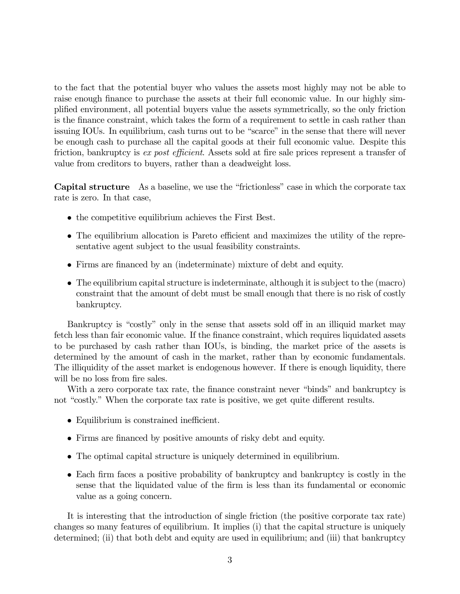to the fact that the potential buyer who values the assets most highly may not be able to raise enough finance to purchase the assets at their full economic value. In our highly simplified environment, all potential buyers value the assets symmetrically, so the only friction is the finance constraint, which takes the form of a requirement to settle in cash rather than issuing IOUs. In equilibrium, cash turns out to be "scarce" in the sense that there will never be enough cash to purchase all the capital goods at their full economic value. Despite this friction, bankruptcy is ex post efficient. Assets sold at fire sale prices represent a transfer of value from creditors to buyers, rather than a deadweight loss.

Capital structure As a baseline, we use the "frictionless" case in which the corporate tax rate is zero. In that case,

- the competitive equilibrium achieves the First Best.
- The equilibrium allocation is Pareto efficient and maximizes the utility of the representative agent subject to the usual feasibility constraints.
- Firms are financed by an (indeterminate) mixture of debt and equity.
- The equilibrium capital structure is indeterminate, although it is subject to the (macro) constraint that the amount of debt must be small enough that there is no risk of costly bankruptcy.

Bankruptcy is "costly" only in the sense that assets sold off in an illiquid market may fetch less than fair economic value. If the finance constraint, which requires liquidated assets to be purchased by cash rather than IOUs, is binding, the market price of the assets is determined by the amount of cash in the market, rather than by economic fundamentals. The illiquidity of the asset market is endogenous however. If there is enough liquidity, there will be no loss from fire sales.

With a zero corporate tax rate, the finance constraint never "binds" and bankruptcy is not "costly." When the corporate tax rate is positive, we get quite different results.

- Equilibrium is constrained inefficient.
- Firms are financed by positive amounts of risky debt and equity.
- The optimal capital structure is uniquely determined in equilibrium.
- Each firm faces a positive probability of bankruptcy and bankruptcy is costly in the sense that the liquidated value of the firm is less than its fundamental or economic value as a going concern.

It is interesting that the introduction of single friction (the positive corporate tax rate) changes so many features of equilibrium. It implies (i) that the capital structure is uniquely determined; (ii) that both debt and equity are used in equilibrium; and (iii) that bankruptcy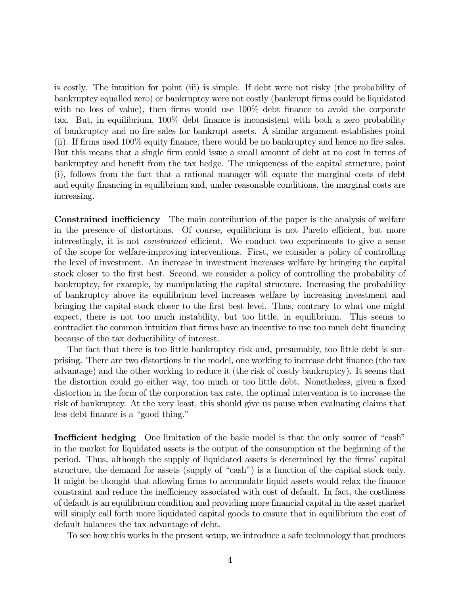is costly. The intuition for point (iii) is simple. If debt were not risky (the probability of bankruptcy equalled zero) or bankruptcy were not costly (bankrupt firms could be liquidated with no loss of value), then firms would use  $100\%$  debt finance to avoid the corporate tax. But, in equilibrium, 100% debt finance is inconsistent with both a zero probability of bankruptcy and no fire sales for bankrupt assets. A similar argument establishes point (ii). If firms used 100% equity finance, there would be no bankruptcy and hence no fire sales. But this means that a single firm could issue a small amount of debt at no cost in terms of bankruptcy and benefit from the tax hedge. The uniqueness of the capital structure, point (i), follows from the fact that a rational manager will equate the marginal costs of debt and equity financing in equilibrium and, under reasonable conditions, the marginal costs are increasing.

Constrained inefficiency The main contribution of the paper is the analysis of welfare in the presence of distortions. Of course, equilibrium is not Pareto efficient, but more interestingly, it is not *constrained* efficient. We conduct two experiments to give a sense of the scope for welfare-improving interventions. First, we consider a policy of controlling the level of investment. An increase in investment increases welfare by bringing the capital stock closer to the first best. Second, we consider a policy of controlling the probability of bankruptcy, for example, by manipulating the capital structure. Increasing the probability of bankruptcy above its equilibrium level increases welfare by increasing investment and bringing the capital stock closer to the first best level. Thus, contrary to what one might expect, there is not too much instability, but too little, in equilibrium. This seems to contradict the common intuition that firms have an incentive to use too much debt financing because of the tax deductibility of interest.

The fact that there is too little bankruptcy risk and, presumably, too little debt is surprising. There are two distortions in the model, one working to increase debt finance (the tax advantage) and the other working to reduce it (the risk of costly bankruptcy). It seems that the distortion could go either way, too much or too little debt. Nonetheless, given a fixed distortion in the form of the corporation tax rate, the optimal intervention is to increase the risk of bankruptcy. At the very least, this should give us pause when evaluating claims that less debt finance is a "good thing."

Inefficient hedging One limitation of the basic model is that the only source of "cash" in the market for liquidated assets is the output of the consumption at the beginning of the period. Thus, although the supply of liquidated assets is determined by the firms' capital structure, the demand for assets (supply of "cash") is a function of the capital stock only. It might be thought that allowing firms to accumulate liquid assets would relax the finance constraint and reduce the inefficiency associated with cost of default. In fact, the costliness of default is an equilibrium condition and providing more financial capital in the asset market will simply call forth more liquidated capital goods to ensure that in equilibrium the cost of default balances the tax advantage of debt.

To see how this works in the present setup, we introduce a safe technnology that produces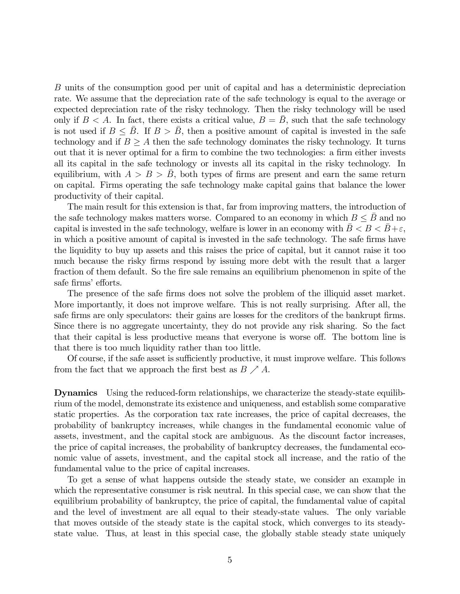B units of the consumption good per unit of capital and has a deterministic depreciation rate. We assume that the depreciation rate of the safe technology is equal to the average or expected depreciation rate of the risky technology. Then the risky technology will be used only if  $B < A$ . In fact, there exists a critical value,  $B = \overline{B}$ , such that the safe technology is not used if  $B \leq B$ . If  $B > B$ , then a positive amount of capital is invested in the safe technology and if  $B \geq A$  then the safe technology dominates the risky technology. It turns out that it is never optimal for a firm to combine the two technologies: a firm either invests all its capital in the safe technology or invests all its capital in the risky technology. In equilibrium, with  $A > B > B$ , both types of firms are present and earn the same return on capital. Firms operating the safe technology make capital gains that balance the lower productivity of their capital.

The main result for this extension is that, far from improving matters, the introduction of the safe technology makes matters worse. Compared to an economy in which  $B \leq B$  and no capital is invested in the safe technology, welfare is lower in an economy with  $\bar{B} < B < \bar{B}+\varepsilon$ , in which a positive amount of capital is invested in the safe technology. The safe firms have the liquidity to buy up assets and this raises the price of capital, but it cannot raise it too much because the risky firms respond by issuing more debt with the result that a larger fraction of them default. So the fire sale remains an equilibrium phenomenon in spite of the safe firms' efforts.

The presence of the safe firms does not solve the problem of the illiquid asset market. More importantly, it does not improve welfare. This is not really surprising. After all, the safe firms are only speculators: their gains are losses for the creditors of the bankrupt firms. Since there is no aggregate uncertainty, they do not provide any risk sharing. So the fact that their capital is less productive means that everyone is worse off. The bottom line is that there is too much liquidity rather than too little.

Of course, if the safe asset is sufficiently productive, it must improve welfare. This follows from the fact that we approach the first best as  $B \nearrow A$ .

Dynamics Using the reduced-form relationships, we characterize the steady-state equilibrium of the model, demonstrate its existence and uniqueness, and establish some comparative static properties. As the corporation tax rate increases, the price of capital decreases, the probability of bankruptcy increases, while changes in the fundamental economic value of assets, investment, and the capital stock are ambiguous. As the discount factor increases, the price of capital increases, the probability of bankruptcy decreases, the fundamental economic value of assets, investment, and the capital stock all increase, and the ratio of the fundamental value to the price of capital increases.

To get a sense of what happens outside the steady state, we consider an example in which the representative consumer is risk neutral. In this special case, we can show that the equilibrium probability of bankruptcy, the price of capital, the fundamental value of capital and the level of investment are all equal to their steady-state values. The only variable that moves outside of the steady state is the capital stock, which converges to its steadystate value. Thus, at least in this special case, the globally stable steady state uniquely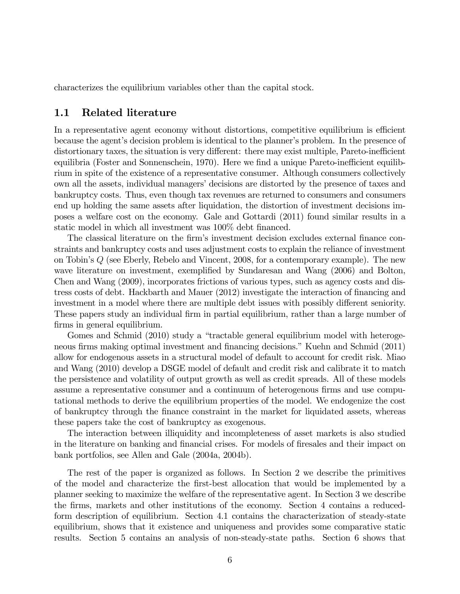characterizes the equilibrium variables other than the capital stock.

### 1.1 Related literature

In a representative agent economy without distortions, competitive equilibrium is efficient because the agent's decision problem is identical to the planner's problem. In the presence of distortionary taxes, the situation is very different: there may exist multiple, Pareto-inefficient equilibria (Foster and Sonnenschein, 1970). Here we find a unique Pareto-inefficient equilibrium in spite of the existence of a representative consumer. Although consumers collectively own all the assets, individual managers' decisions are distorted by the presence of taxes and bankruptcy costs. Thus, even though tax revenues are returned to consumers and consumers end up holding the same assets after liquidation, the distortion of investment decisions imposes a welfare cost on the economy. Gale and Gottardi (2011) found similar results in a static model in which all investment was 100% debt financed.

The classical literature on the firm's investment decision excludes external finance constraints and bankruptcy costs and uses adjustment costs to explain the reliance of investment on Tobin's  $Q$  (see Eberly, Rebelo and Vincent, 2008, for a contemporary example). The new wave literature on investment, exemplified by Sundaresan and Wang (2006) and Bolton, Chen and Wang (2009), incorporates frictions of various types, such as agency costs and distress costs of debt. Hackbarth and Mauer (2012) investigate the interaction of financing and investment in a model where there are multiple debt issues with possibly different seniority. These papers study an individual firm in partial equilibrium, rather than a large number of firms in general equilibrium.

Gomes and Schmid (2010) study a "tractable general equilibrium model with heterogeneous firms making optimal investment and financing decisions." Kuehn and Schmid (2011) allow for endogenous assets in a structural model of default to account for credit risk. Miao and Wang (2010) develop a DSGE model of default and credit risk and calibrate it to match the persistence and volatility of output growth as well as credit spreads. All of these models assume a representative consumer and a continuum of heterogenous firms and use computational methods to derive the equilibrium properties of the model. We endogenize the cost of bankruptcy through the finance constraint in the market for liquidated assets, whereas these papers take the cost of bankruptcy as exogenous.

The interaction between illiquidity and incompleteness of asset markets is also studied in the literature on banking and financial crises. For models of firesales and their impact on bank portfolios, see Allen and Gale (2004a, 2004b).

The rest of the paper is organized as follows. In Section 2 we describe the primitives of the model and characterize the first-best allocation that would be implemented by a planner seeking to maximize the welfare of the representative agent. In Section 3 we describe the firms, markets and other institutions of the economy. Section 4 contains a reducedform description of equilibrium. Section 4.1 contains the characterization of steady-state equilibrium, shows that it existence and uniqueness and provides some comparative static results. Section 5 contains an analysis of non-steady-state paths. Section 6 shows that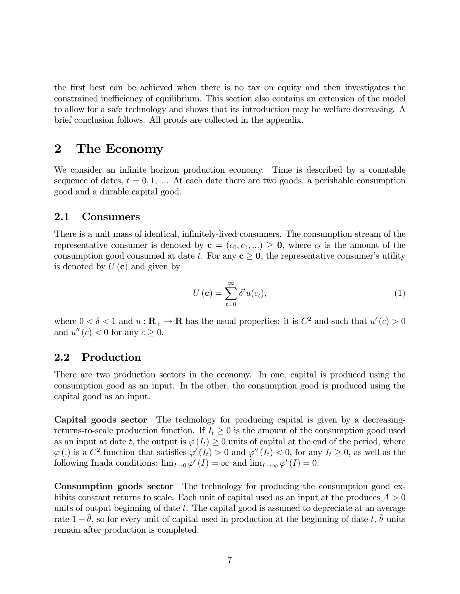the first best can be achieved when there is no tax on equity and then investigates the constrained inefficiency of equilibrium. This section also contains an extension of the model to allow for a safe technology and shows that its introduction may be welfare decreasing. A brief conclusion follows. All proofs are collected in the appendix.

# 2 The Economy

We consider an infinite horizon production economy. Time is described by a countable sequence of dates,  $t = 0, 1, \dots$  At each date there are two goods, a perishable consumption good and a durable capital good.

### 2.1 Consumers

There is a unit mass of identical, infinitely-lived consumers. The consumption stream of the representative consumer is denoted by  $\mathbf{c} = (c_0, c_1, ...) \geq \mathbf{0}$ , where  $c_t$  is the amount of the consumption good consumed at date t. For any  $c \geq 0$ , the representative consumer's utility is denoted by  $U(\mathbf{c})$  and given by

$$
U\left(\mathbf{c}\right) = \sum_{t=0}^{\infty} \delta^t u(c_t),\tag{1}
$$

where  $0 < \delta < 1$  and  $u : \mathbf{R}_{+} \to \mathbf{R}$  has the usual properties: it is  $C^2$  and such that  $u'(c) > 0$ and  $u''(c) < 0$  for any  $c \geq 0$ .

### 2.2 Production

There are two production sectors in the economy. In one, capital is produced using the consumption good as an input. In the other, the consumption good is produced using the capital good as an input.

Capital goods sector The technology for producing capital is given by a decreasingreturns-to-scale production function. If  $I_t \geq 0$  is the amount of the consumption good used as an input at date t, the output is  $\varphi(I_t) \geq 0$  units of capital at the end of the period, where  $\varphi$  (.) is a  $C^2$  function that satisfies  $\varphi'(I_t) > 0$  and  $\varphi''(I_t) < 0$ , for any  $I_t \geq 0$ , as well as the following Inada conditions:  $\lim_{I\to 0} \varphi'(I) = \infty$  and  $\lim_{I\to\infty} \varphi'(I) = 0$ .

Consumption goods sector The technology for producing the consumption good exhibits constant returns to scale. Each unit of capital used as an input at the produces  $A > 0$ units of output beginning of date  $t$ . The capital good is assumed to depreciate at an average rate  $1 - \theta$ , so for every unit of capital used in production at the beginning of date t,  $\theta$  units remain after production is completed.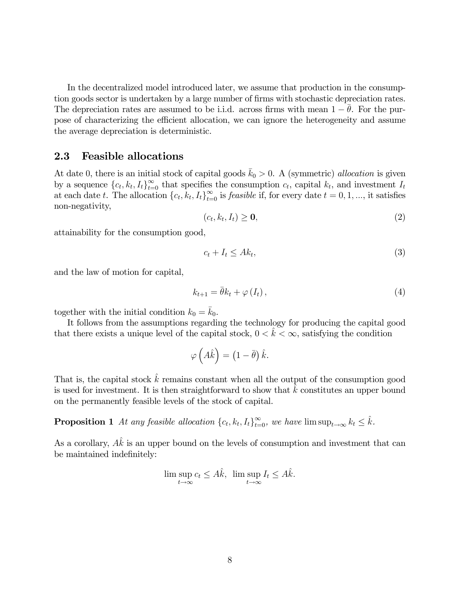In the decentralized model introduced later, we assume that production in the consumption goods sector is undertaken by a large number of firms with stochastic depreciation rates. The depreciation rates are assumed to be i.i.d. across firms with mean  $1 - \theta$ . For the purpose of characterizing the efficient allocation, we can ignore the heterogeneity and assume the average depreciation is deterministic.

### 2.3 Feasible allocations

At date 0, there is an initial stock of capital goods  $\bar{k}_0 > 0$ . A (symmetric) allocation is given by a sequence  ${c_t, k_t, I_t}_{t=0}^{\infty}$  that specifies the consumption  $c_t$ , capital  $k_t$ , and investment  $I_t$ at each date t. The allocation  ${c_t, k_t, I_t}_{t=0}^{\infty}$  is *feasible* if, for every date  $t = 0, 1, ...,$  it satisfies non-negativity,

$$
(c_t, k_t, I_t) \geq \mathbf{0},\tag{2}
$$

attainability for the consumption good,

$$
c_t + I_t \le Ak_t,\tag{3}
$$

and the law of motion for capital,

$$
k_{t+1} = \bar{\theta}k_t + \varphi(I_t), \qquad (4)
$$

together with the initial condition  $k_0 = \bar{k}_0$ .

It follows from the assumptions regarding the technology for producing the capital good that there exists a unique level of the capital stock,  $0 < \hat{k} < \infty$ , satisfying the condition

$$
\varphi\left(\hat{A}\hat{k}\right) = \left(1 - \bar{\theta}\right)\hat{k}.
$$

That is, the capital stock  $\hat{k}$  remains constant when all the output of the consumption good is used for investment. It is then straightforward to show that  $\hat{k}$  constitutes an upper bound on the permanently feasible levels of the stock of capital.

**Proposition 1** At any feasible allocation  $\{c_t, k_t, I_t\}_{t=0}^{\infty}$ , we have  $\limsup_{t\to\infty} k_t \leq \hat{k}$ .

As a corollary,  $A\hat{k}$  is an upper bound on the levels of consumption and investment that can be maintained indefinitely:

$$
\limsup_{t \to \infty} c_t \le A\hat{k}, \ \limsup_{t \to \infty} I_t \le A\hat{k}.
$$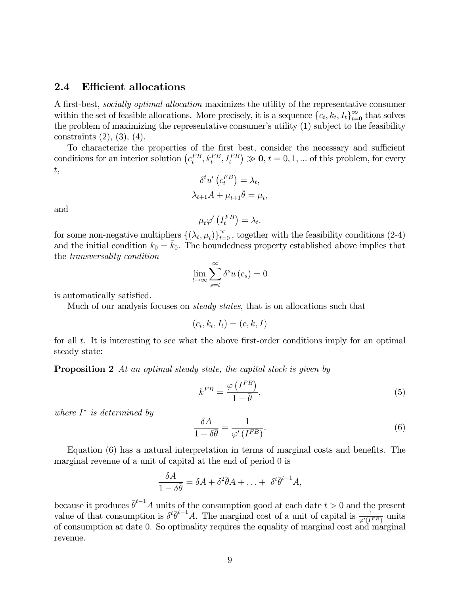### 2.4 Efficient allocations

A first-best, socially optimal allocation maximizes the utility of the representative consumer within the set of feasible allocations. More precisely, it is a sequence  ${c_t, k_t, I_t}_{t=0}^{\infty}$  that solves the problem of maximizing the representative consumer's utility (1) subject to the feasibility constraints (2), (3), (4).

To characterize the properties of the first best, consider the necessary and sufficient conditions for an interior solution  $(c_t^{FB}, k_t^{FB}, I_t^{FB}) \gg 0, t = 0, 1, ...$  of this problem, for every  $t,$ 

$$
\delta^t u' \left( c_t^{FB} \right) = \lambda_t,
$$
  

$$
\lambda_{t+1} A + \mu_{t+1} \bar{\theta} = \mu_t,
$$

and

$$
\mu_t \varphi' \left( I_t^{FB} \right) = \lambda_t.
$$

for some non-negative multipliers  $\{(\lambda_t, \mu_t)\}_{t=0}^{\infty}$ , together with the feasibility conditions (2-4) and the initial condition  $k_0 = \bar{k}_0$ . The boundedness property established above implies that the transversality condition

$$
\lim_{t \to \infty} \sum_{s=t}^{\infty} \delta^s u(c_s) = 0
$$

is automatically satisfied.

Much of our analysis focuses on *steady states*, that is on allocations such that

$$
(c_t, k_t, I_t) = (c, k, I)
$$

for all  $t$ . It is interesting to see what the above first-order conditions imply for an optimal steady state:

**Proposition 2** At an optimal steady state, the capital stock is given by

$$
k^{FB} = \frac{\varphi\left(I^{FB}\right)}{1 - \bar{\theta}},\tag{5}
$$

where  $I^*$  is determined by

$$
\frac{\delta A}{1 - \delta \bar{\theta}} = \frac{1}{\varphi' (I^{FB})}.
$$
\n(6)

Equation (6) has a natural interpretation in terms of marginal costs and benefits. The marginal revenue of a unit of capital at the end of period 0 is

$$
\frac{\delta A}{1-\delta\overline{\theta}} = \delta A + \delta^2 \overline{\theta} A + \ldots + \delta^t \overline{\theta}^{t-1} A,
$$

because it produces  $\bar{\theta}^{t-1}A$  units of the consumption good at each date  $t > 0$  and the present value of that consumption is  $\delta^t \overline{\theta}^{t-1} A$ . The marginal cost of a unit of capital is  $\frac{1}{\varphi'(I^{FB})}$  units of consumption at date 0. So optimality requires the equality of marginal cost and marginal revenue.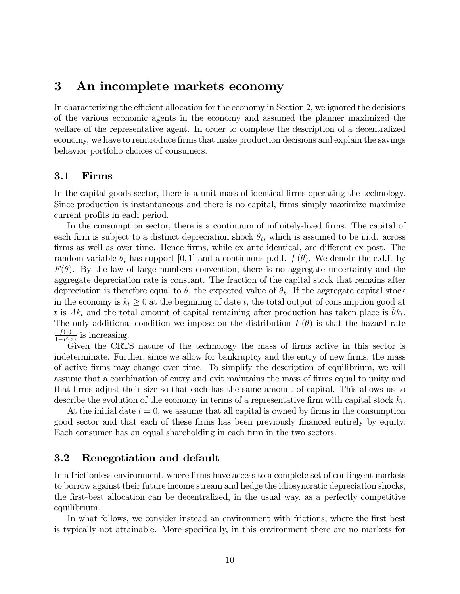# 3 An incomplete markets economy

In characterizing the efficient allocation for the economy in Section 2, we ignored the decisions of the various economic agents in the economy and assumed the planner maximized the welfare of the representative agent. In order to complete the description of a decentralized economy, we have to reintroduce firms that make production decisions and explain the savings behavior portfolio choices of consumers.

### 3.1 Firms

In the capital goods sector, there is a unit mass of identical firms operating the technology. Since production is instantaneous and there is no capital, firms simply maximize maximize current profits in each period.

In the consumption sector, there is a continuum of infinitely-lived firms. The capital of each firm is subject to a distinct depreciation shock  $\theta_t$ , which is assumed to be i.i.d. across firms as well as over time. Hence firms, while ex ante identical, are different ex post. The random variable  $\theta_t$  has support [0,1] and a continuous p.d.f.  $f(\theta)$ . We denote the c.d.f. by  $F(\theta)$ . By the law of large numbers convention, there is no aggregate uncertainty and the aggregate depreciation rate is constant. The fraction of the capital stock that remains after depreciation is therefore equal to  $\theta$ , the expected value of  $\theta_t$ . If the aggregate capital stock in the economy is  $k_t \geq 0$  at the beginning of date t, the total output of consumption good at t is  $Ak_t$  and the total amount of capital remaining after production has taken place is  $\theta k_t$ . The only additional condition we impose on the distribution  $F(\theta)$  is that the hazard rate  $\frac{f(z)}{1-F(z)}$  is increasing.

Given the CRTS nature of the technology the mass of firms active in this sector is indeterminate. Further, since we allow for bankruptcy and the entry of new firms, the mass of active firms may change over time. To simplify the description of equilibrium, we will assume that a combination of entry and exit maintains the mass of firms equal to unity and that firms adjust their size so that each has the same amount of capital. This allows us to describe the evolution of the economy in terms of a representative firm with capital stock  $k_t$ .

At the initial date  $t = 0$ , we assume that all capital is owned by firms in the consumption good sector and that each of these firms has been previously financed entirely by equity. Each consumer has an equal shareholding in each firm in the two sectors.

### 3.2 Renegotiation and default

In a frictionless environment, where firms have access to a complete set of contingent markets to borrow against their future income stream and hedge the idiosyncratic depreciation shocks, the first-best allocation can be decentralized, in the usual way, as a perfectly competitive equilibrium.

In what follows, we consider instead an environment with frictions, where the first best is typically not attainable. More specifically, in this environment there are no markets for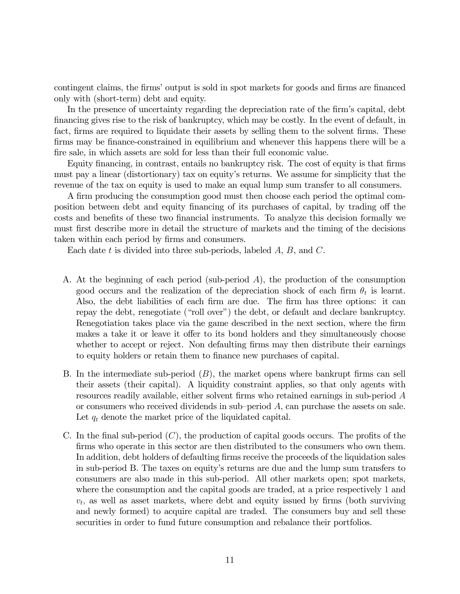contingent claims, the firms' output is sold in spot markets for goods and firms are financed only with (short-term) debt and equity.

In the presence of uncertainty regarding the depreciation rate of the firm's capital, debt financing gives rise to the risk of bankruptcy, which may be costly. In the event of default, in fact, firms are required to liquidate their assets by selling them to the solvent firms. These firms may be finance-constrained in equilibrium and whenever this happens there will be a fire sale, in which assets are sold for less than their full economic value.

Equity financing, in contrast, entails no bankruptcy risk. The cost of equity is that firms must pay a linear (distortionary) tax on equity's returns. We assume for simplicity that the revenue of the tax on equity is used to make an equal lump sum transfer to all consumers.

A firm producing the consumption good must then choose each period the optimal composition between debt and equity financing of its purchases of capital, by trading off the costs and benefits of these two financial instruments. To analyze this decision formally we must first describe more in detail the structure of markets and the timing of the decisions taken within each period by firms and consumers.

Each date  $t$  is divided into three sub-periods, labeled  $A, B$ , and  $C$ .

- A. At the beginning of each period (sub-period  $A$ ), the production of the consumption good occurs and the realization of the depreciation shock of each firm  $\theta_t$  is learnt. Also, the debt liabilities of each firm are due. The firm has three options: it can repay the debt, renegotiate ("roll over") the debt, or default and declare bankruptcy. Renegotiation takes place via the game described in the next section, where the firm makes a take it or leave it offer to its bond holders and they simultaneously choose whether to accept or reject. Non defaulting firms may then distribute their earnings to equity holders or retain them to finance new purchases of capital.
- B. In the intermediate sub-period  $(B)$ , the market opens where bankrupt firms can sell their assets (their capital). A liquidity constraint applies, so that only agents with resources readily available, either solvent firms who retained earnings in sub-period A or consumers who received dividends in sub-period  $A$ , can purchase the assets on sale. Let  $q_t$  denote the market price of the liquidated capital.
- C. In the final sub-period  $(C)$ , the production of capital goods occurs. The profits of the firms who operate in this sector are then distributed to the consumers who own them. In addition, debt holders of defaulting firms receive the proceeds of the liquidation sales in sub-period B. The taxes on equity's returns are due and the lump sum transfers to consumers are also made in this sub-period. All other markets open; spot markets, where the consumption and the capital goods are traded, at a price respectively 1 and  $v_t$ , as well as asset markets, where debt and equity issued by firms (both surviving and newly formed) to acquire capital are traded. The consumers buy and sell these securities in order to fund future consumption and rebalance their portfolios.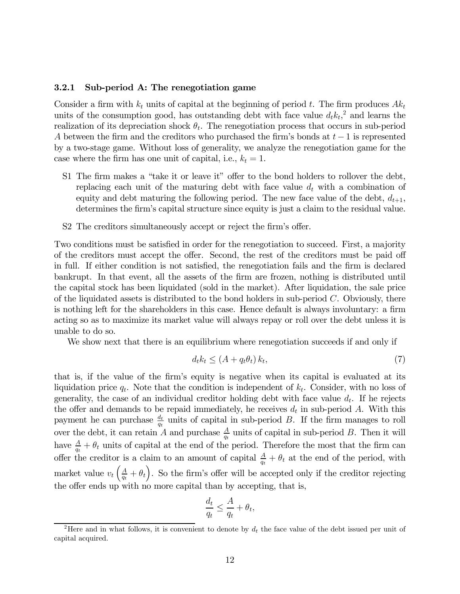#### 3.2.1 Sub-period A: The renegotiation game

Consider a firm with  $k_t$  units of capital at the beginning of period t. The firm produces  $Ak_t$ units of the consumption good, has outstanding debt with face value  $d_t k_t$ <sup>2</sup>, and learns the realization of its depreciation shock  $\theta_t$ . The renegotiation process that occurs in sub-period A between the firm and the creditors who purchased the firm's bonds at  $t - 1$  is represented by a two-stage game. Without loss of generality, we analyze the renegotiation game for the case where the firm has one unit of capital, i.e.,  $k_t = 1$ .

- S1 The firm makes a "take it or leave it" offer to the bond holders to rollover the debt, replacing each unit of the maturing debt with face value  $d_t$  with a combination of equity and debt maturing the following period. The new face value of the debt,  $d_{t+1}$ , determines the firm's capital structure since equity is just a claim to the residual value.
- S2 The creditors simultaneously accept or reject the firm's offer.

Two conditions must be satisfied in order for the renegotiation to succeed. First, a majority of the creditors must accept the offer. Second, the rest of the creditors must be paid off in full. If either condition is not satisfied, the renegotiation fails and the firm is declared bankrupt. In that event, all the assets of the firm are frozen, nothing is distributed until the capital stock has been liquidated (sold in the market). After liquidation, the sale price of the liquidated assets is distributed to the bond holders in sub-period  $C$ . Obviously, there is nothing left for the shareholders in this case. Hence default is always involuntary: a firm acting so as to maximize its market value will always repay or roll over the debt unless it is unable to do so.

We show next that there is an equilibrium where renegotiation succeeds if and only if

$$
d_t k_t \le (A + q_t \theta_t) k_t,\tag{7}
$$

that is, if the value of the firm's equity is negative when its capital is evaluated at its liquidation price  $q_t$ . Note that the condition is independent of  $k_t$ . Consider, with no loss of generality, the case of an individual creditor holding debt with face value  $d_t$ . If he rejects the offer and demands to be repaid immediately, he receives  $d_t$  in sub-period A. With this payment he can purchase  $\frac{d_t}{q_t}$  units of capital in sub-period B. If the firm manages to roll over the debt, it can retain A and purchase  $\frac{A}{q_t}$  units of capital in sub-period B. Then it will have  $\frac{A}{q_t} + \theta_t$  units of capital at the end of the period. Therefore the most that the firm can offer the creditor is a claim to an amount of capital  $\frac{A}{q_t} + \theta_t$  at the end of the period, with market value  $v_t\left(\frac{A}{q_t} + \theta_t\right)$ . So the firm's offer will be accepted only if the creditor rejecting the offer ends up with no more capital than by accepting, that is,

$$
\frac{d_t}{q_t} \le \frac{A}{q_t} + \theta_t,
$$

<sup>&</sup>lt;sup>2</sup>Here and in what follows, it is convenient to denote by  $d_t$  the face value of the debt issued per unit of capital acquired.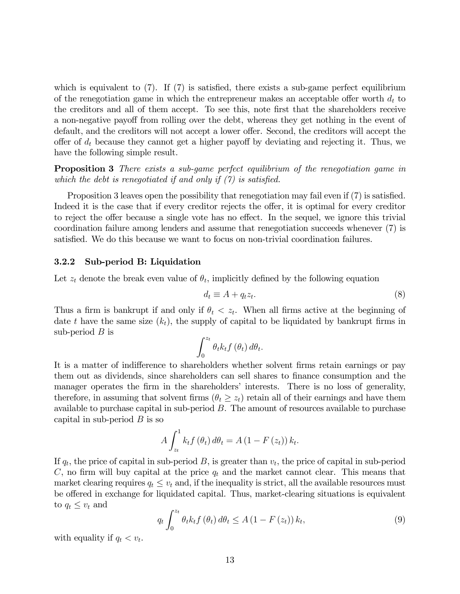which is equivalent to  $(7)$ . If  $(7)$  is satisfied, there exists a sub-game perfect equilibrium of the renegotiation game in which the entrepreneur makes an acceptable offer worth  $d_t$  to the creditors and all of them accept. To see this, note first that the shareholders receive a non-negative payoff from rolling over the debt, whereas they get nothing in the event of default, and the creditors will not accept a lower offer. Second, the creditors will accept the offer of  $d_t$  because they cannot get a higher payoff by deviating and rejecting it. Thus, we have the following simple result.

**Proposition 3** There exists a sub-game perfect equilibrium of the renegotiation game in which the debt is renegotiated if and only if  $(\gamma)$  is satisfied.

Proposition 3 leaves open the possibility that renegotiation may fail even if (7) is satisfied. Indeed it is the case that if every creditor rejects the offer, it is optimal for every creditor to reject the offer because a single vote has no effect. In the sequel, we ignore this trivial coordination failure among lenders and assume that renegotiation succeeds whenever (7) is satisfied. We do this because we want to focus on non-trivial coordination failures.

#### 3.2.2 Sub-period B: Liquidation

Let  $z_t$  denote the break even value of  $\theta_t$ , implicitly defined by the following equation

$$
d_t \equiv A + q_t z_t. \tag{8}
$$

Thus a firm is bankrupt if and only if  $\theta_t < z_t$ . When all firms active at the beginning of date t have the same size  $(k_t)$ , the supply of capital to be liquidated by bankrupt firms in sub-period  $B$  is

$$
\int_0^{z_t} \theta_t k_t f\left(\theta_t\right) d\theta_t.
$$

It is a matter of indifference to shareholders whether solvent firms retain earnings or pay them out as dividends, since shareholders can sell shares to finance consumption and the manager operates the firm in the shareholders' interests. There is no loss of generality, therefore, in assuming that solvent firms  $(\theta_t \geq z_t)$  retain all of their earnings and have them available to purchase capital in sub-period  $B$ . The amount of resources available to purchase capital in sub-period  $B$  is so

$$
A\int_{z_t}^1 k_t f\left(\theta_t\right) d\theta_t = A\left(1 - F\left(z_t\right)\right) k_t.
$$

If  $q_t$ , the price of capital in sub-period B, is greater than  $v_t$ , the price of capital in sub-period C, no firm will buy capital at the price  $q_t$  and the market cannot clear. This means that market clearing requires  $q_t \leq v_t$  and, if the inequality is strict, all the available resources must be offered in exchange for liquidated capital. Thus, market-clearing situations is equivalent to  $q_t \leq v_t$  and

$$
q_t \int_0^{z_t} \theta_t k_t f(\theta_t) d\theta_t \le A \left(1 - F(z_t)\right) k_t,
$$
\n(9)

with equality if  $q_t < v_t$ .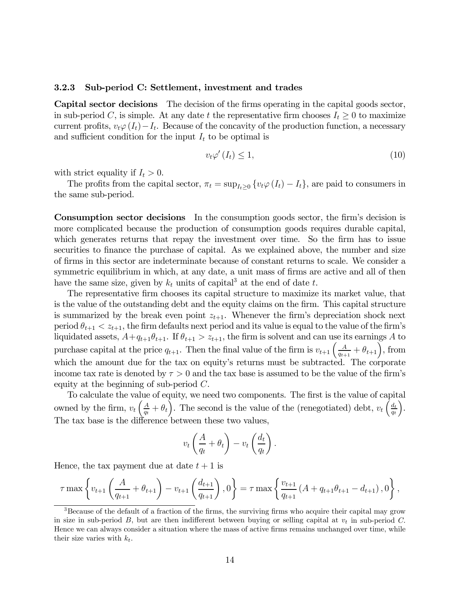#### 3.2.3 Sub-period C: Settlement, investment and trades

Capital sector decisions The decision of the firms operating in the capital goods sector, in sub-period C, is simple. At any date t the representative firm chooses  $I_t \geq 0$  to maximize current profits,  $v_t\varphi(I_t)-I_t$ . Because of the concavity of the production function, a necessary and sufficient condition for the input  $I_t$  to be optimal is

$$
v_t \varphi'(I_t) \le 1,\tag{10}
$$

with strict equality if  $I_t > 0$ .

The profits from the capital sector,  $\pi_t = \sup_{I_t > 0} \{v_t \varphi(I_t) - I_t\}$ , are paid to consumers in the same sub-period.

Consumption sector decisions In the consumption goods sector, the firm's decision is more complicated because the production of consumption goods requires durable capital, which generates returns that repay the investment over time. So the firm has to issue securities to finance the purchase of capital. As we explained above, the number and size of firms in this sector are indeterminate because of constant returns to scale. We consider a symmetric equilibrium in which, at any date, a unit mass of firms are active and all of then have the same size, given by  $k_t$  units of capital<sup>3</sup> at the end of date t.

The representative firm chooses its capital structure to maximize its market value, that is the value of the outstanding debt and the equity claims on the firm. This capital structure is summarized by the break even point  $z_{t+1}$ . Whenever the firm's depreciation shock next period  $\theta_{t+1} < z_{t+1}$ , the firm defaults next period and its value is equal to the value of the firm's liquidated assets,  $A+q_{t+1}\theta_{t+1}$ . If  $\theta_{t+1} > z_{t+1}$ , the firm is solvent and can use its earnings A to purchase capital at the price  $q_{t+1}$ . Then the final value of the firm is  $v_{t+1} \left( \frac{A}{q_{t+1}} + \theta_{t+1} \right)$ , from which the amount due for the tax on equity's returns must be subtracted. The corporate income tax rate is denoted by  $\tau > 0$  and the tax base is assumed to be the value of the firm's equity at the beginning of sub-period  $C$ .

To calculate the value of equity, we need two components. The first is the value of capital owned by the firm,  $v_t igg(\frac{A}{q_t} + \theta_t \bigg)$ . The second is the value of the (renegotiated) debt,  $v_t igg(\frac{d_t}{q_t} + \theta_t \bigg)$ .  $q_t$ ´ . The tax base is the difference between these two values,

$$
v_t\left(\frac{A}{q_t} + \theta_t\right) - v_t\left(\frac{d_t}{q_t}\right).
$$

Hence, the tax payment due at date  $t + 1$  is

$$
\tau \max \left\{ v_{t+1} \left( \frac{A}{q_{t+1}} + \theta_{t+1} \right) - v_{t+1} \left( \frac{d_{t+1}}{q_{t+1}} \right), 0 \right\} = \tau \max \left\{ \frac{v_{t+1}}{q_{t+1}} \left( A + q_{t+1} \theta_{t+1} - d_{t+1} \right), 0 \right\},\,
$$

<sup>&</sup>lt;sup>3</sup>Because of the default of a fraction of the firms, the surviving firms who acquire their capital may grow in size in sub-period  $B$ , but are then indifferent between buying or selling capital at  $v_t$  in sub-period  $C$ . Hence we can always consider a situation where the mass of active firms remains unchanged over time, while their size varies with  $k_t$ .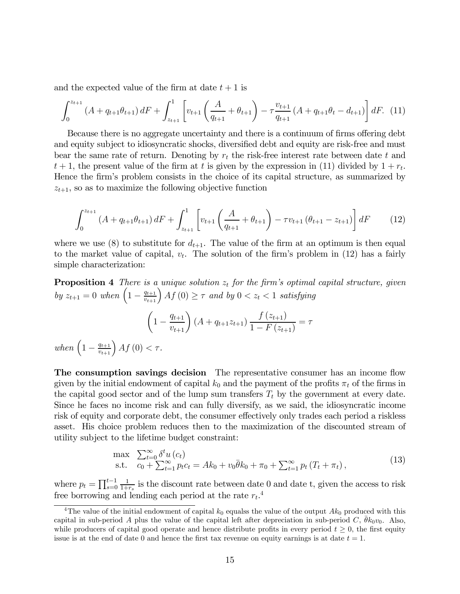and the expected value of the firm at date  $t + 1$  is

$$
\int_0^{z_{t+1}} \left( A + q_{t+1} \theta_{t+1} \right) dF + \int_{z_{t+1}}^1 \left[ v_{t+1} \left( \frac{A}{q_{t+1}} + \theta_{t+1} \right) - \tau \frac{v_{t+1}}{q_{t+1}} \left( A + q_{t+1} \theta_t - d_{t+1} \right) \right] dF. \tag{11}
$$

Because there is no aggregate uncertainty and there is a continuum of firms offering debt and equity subject to idiosyncratic shocks, diversified debt and equity are risk-free and must bear the same rate of return. Denoting by  $r_t$  the risk-free interest rate between date  $t$  and  $t + 1$ , the present value of the firm at t is given by the expression in (11) divided by  $1 + r_t$ . Hence the firm's problem consists in the choice of its capital structure, as summarized by  $z_{t+1}$ , so as to maximize the following objective function

$$
\int_0^{z_{t+1}} \left( A + q_{t+1} \theta_{t+1} \right) dF + \int_{z_{t+1}}^1 \left[ v_{t+1} \left( \frac{A}{q_{t+1}} + \theta_{t+1} \right) - \tau v_{t+1} \left( \theta_{t+1} - z_{t+1} \right) \right] dF \tag{12}
$$

where we use (8) to substitute for  $d_{t+1}$ . The value of the firm at an optimum is then equal to the market value of capital,  $v_t$ . The solution of the firm's problem in (12) has a fairly simple characterization:

**Proposition 4** There is a unique solution  $z_t$  for the firm's optimal capital structure, given by  $z_{t+1} = 0$  when  $\left(1 - \frac{q_{t+1}}{v_{t+1}}\right) A f(0) \geq \tau$  and by  $0 < z_t < 1$  satisfying  $\left(1-\frac{q_{t+1}}{v_{t+1}}\right) (A+q_{t+1}z_{t+1}) \frac{f(z_{t+1})}{1-F(z_{t+1})}$  $\frac{f(x_{t+1})}{1 - F(z_{t+1})} = \tau$ when  $\left(1 - \frac{q_{t+1}}{v_{t+1}}\right)Af(0) < \tau$ .

The consumption savings decision The representative consumer has an income flow given by the initial endowment of capital  $k_0$  and the payment of the profits  $\pi_t$  of the firms in the capital good sector and of the lump sum transfers  $T_t$  by the government at every date. Since he faces no income risk and can fully diversify, as we said, the idiosyncratic income risk of equity and corporate debt, the consumer effectively only trades each period a riskless asset. His choice problem reduces then to the maximization of the discounted stream of utility subject to the lifetime budget constraint:

$$
\max_{\text{s.t.}} \sum_{c_0 + \sum_{t=1}^{\infty} p_t c_t} \delta^t u(c_t) \n\text{s.t.} \quad c_0 + \sum_{t=1}^{\infty} p_t c_t = Ak_0 + v_0 \bar{\theta} k_0 + \pi_0 + \sum_{t=1}^{\infty} p_t (T_t + \pi_t),
$$
\n(13)

where  $p_t = \prod_{s=0}^{t-1}$  $\frac{1}{1+r_s}$  is the discount rate between date 0 and date t, given the access to risk free borrowing and lending each period at the rate  $r_t$ <sup>4</sup>.

<sup>&</sup>lt;sup>4</sup>The value of the initial endowment of capital  $k_0$  equalss the value of the output  $Ak_0$  produced with this capital in sub-period A plus the value of the capital left after depreciation in sub-period C,  $\bar{\theta}k_0v_0$ . Also, while producers of capital good operate and hence distribute profits in every period  $t \geq 0$ , the first equity issue is at the end of date 0 and hence the first tax revenue on equity earnings is at date  $t = 1$ .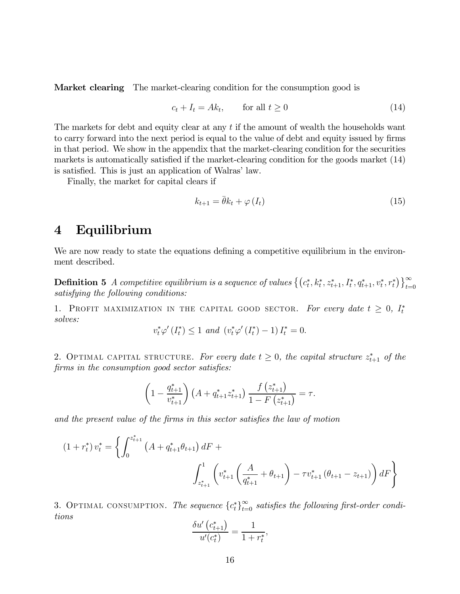Market clearing The market-clearing condition for the consumption good is

$$
c_t + I_t = Ak_t, \qquad \text{for all } t \ge 0 \tag{14}
$$

The markets for debt and equity clear at any  $t$  if the amount of wealth the households want to carry forward into the next period is equal to the value of debt and equity issued by firms in that period. We show in the appendix that the market-clearing condition for the securities markets is automatically satisfied if the market-clearing condition for the goods market (14) is satisfied. This is just an application of Walras' law.

Finally, the market for capital clears if

$$
k_{t+1} = \bar{\theta}k_t + \varphi(I_t) \tag{15}
$$

# 4 Equilibrium

We are now ready to state the equations defining a competitive equilibrium in the environment described.

**Definition 5** A competitive equilibrium is a sequence of values  $\{(c_t^*, k_t^*, z_{t+1}^*, I_t^*, q_{t+1}^*, v_t^*, r_t^*)\}_{t=0}^{\infty}$ satisfying the following conditions:

1. PROFIT MAXIMIZATION IN THE CAPITAL GOOD SECTOR. For every date  $t \geq 0$ ,  $I_t^*$ solves:

$$
v_t^* \varphi'(I_t^*) \le 1
$$
 and  $(v_t^* \varphi'(I_t^*) - 1) I_t^* = 0$ .

2. OPTIMAL CAPITAL STRUCTURE. For every date  $t \geq 0$ , the capital structure  $z_{t+1}^*$  of the firms in the consumption good sector satisfies:

$$
\left(1 - \frac{q_{t+1}^*}{v_{t+1}^*}\right) \left(A + q_{t+1}^* z_{t+1}^*\right) \frac{f\left(z_{t+1}^*\right)}{1 - F\left(z_{t+1}^*\right)} = \tau.
$$

and the present value of the firms in this sector satisfies the law of motion

$$
(1 + r_t^*) v_t^* = \left\{ \int_0^{z_{t+1}^*} \left( A + q_{t+1}^* \theta_{t+1} \right) dF + \int_{z_{t+1}^*} \left( v_{t+1}^* \left( \frac{A}{q_{t+1}^*} + \theta_{t+1} \right) - \tau v_{t+1}^* \left( \theta_{t+1} - z_{t+1} \right) \right) dF \right\}
$$

3. OPTIMAL CONSUMPTION. The sequence  ${c_t^*}_{t=0}^\infty$  satisfies the following first-order conditions

$$
\frac{\delta u'\left(c_{t+1}^*\right)}{u'(c_t^*)} = \frac{1}{1+r_t^*},
$$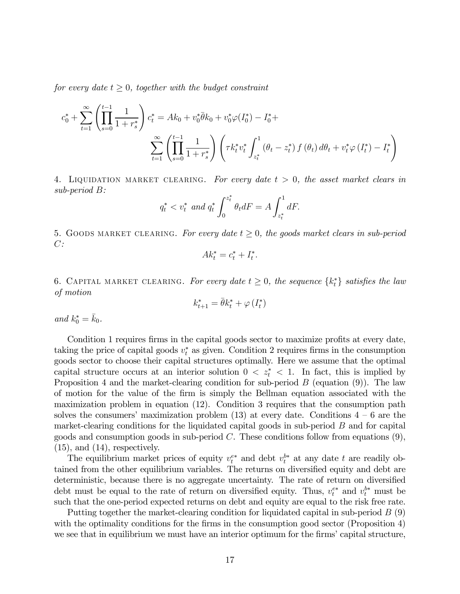for every date  $t \geq 0$ , together with the budget constraint

$$
c_0^* + \sum_{t=1}^{\infty} \left( \prod_{s=0}^{t-1} \frac{1}{1+r_s^*} \right) c_t^* = Ak_0 + v_0^* \overline{\theta} k_0 + v_0^* \varphi(I_0^*) - I_0^* + \sum_{t=1}^{\infty} \left( \prod_{s=0}^{t-1} \frac{1}{1+r_s^*} \right) \left( \tau k_t^* v_t^* \int_{z_t^*}^1 (\theta_t - z_t^*) f(\theta_t) d\theta_t + v_t^* \varphi(I_t^*) - I_t^* \right)
$$

4. LIQUIDATION MARKET CLEARING. For every date  $t > 0$ , the asset market clears in  $sub-period B$ :

$$
q_t^* < v_t^*
$$
 and  $q_t^* \int_0^{z_t^*} \theta_t dF = A \int_{z_t^*}^1 dF$ .

5. GOODS MARKET CLEARING. For every date  $t \geq 0$ , the goods market clears in sub-period  $C$ :

$$
Ak_t^* = c_t^* + I_t^*.
$$

6. CAPITAL MARKET CLEARING. For every date  $t \geq 0$ , the sequence  $\{k_t^*\}$  satisfies the law of motion

$$
k_{t+1}^* = \bar{\theta}k_t^* + \varphi(I_t^*)
$$

and  $k_0^* = \bar{k}_0$ .

Condition 1 requires firms in the capital goods sector to maximize profits at every date, taking the price of capital goods  $v_t^*$  as given. Condition 2 requires firms in the consumption goods sector to choose their capital structures optimally. Here we assume that the optimal capital structure occurs at an interior solution  $0 < z_t^* < 1$ . In fact, this is implied by Proposition 4 and the market-clearing condition for sub-period  $B$  (equation (9)). The law of motion for the value of the firm is simply the Bellman equation associated with the maximization problem in equation (12). Condition 3 requires that the consumption path solves the consumers' maximization problem  $(13)$  at every date. Conditions  $4 - 6$  are the market-clearing conditions for the liquidated capital goods in sub-period  $B$  and for capital goods and consumption goods in sub-period  $C$ . These conditions follow from equations  $(9)$ ,  $(15)$ , and  $(14)$ , respectively.

The equilibrium market prices of equity  $v_t^{e*}$  and debt  $v_t^{b*}$  at any date t are readily obtained from the other equilibrium variables. The returns on diversified equity and debt are deterministic, because there is no aggregate uncertainty. The rate of return on diversified debt must be equal to the rate of return on diversified equity. Thus,  $v_t^{e*}$  and  $v_t^{b*}$  must be such that the one-period expected returns on debt and equity are equal to the risk free rate.

Putting together the market-clearing condition for liquidated capital in sub-period  $B(9)$ with the optimality conditions for the firms in the consumption good sector (Proposition 4) we see that in equilibrium we must have an interior optimum for the firms' capital structure,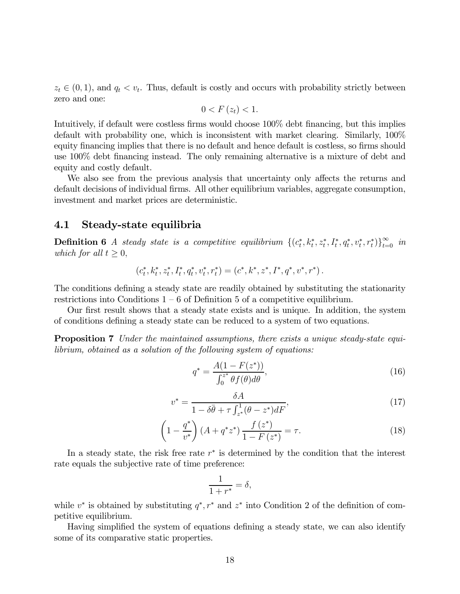$z_t \in (0, 1)$ , and  $q_t < v_t$ . Thus, default is costly and occurs with probability strictly between zero and one:

$$
0 < F\left(z_t\right) < 1.
$$

Intuitively, if default were costless firms would choose 100% debt financing, but this implies default with probability one, which is inconsistent with market clearing. Similarly, 100% equity financing implies that there is no default and hence default is costless, so firms should use 100% debt financing instead. The only remaining alternative is a mixture of debt and equity and costly default.

We also see from the previous analysis that uncertainty only affects the returns and default decisions of individual firms. All other equilibrium variables, aggregate consumption, investment and market prices are deterministic.

### 4.1 Steady-state equilibria

**Definition 6** A steady state is a competitive equilibrium  $\{(c_t^*, k_t^*, z_t^*, I_t^*, q_t^*, v_t^*, r_t^*)\}_{t=0}^{\infty}$  in which for all  $t \geq 0$ ,

$$
(c_t^*, k_t^*, z_t^*, I_t^*, q_t^*, v_t^*, r_t^*) = (c^*, k^*, z^*, I^*, q^*, v^*, r^*).
$$

The conditions defining a steady state are readily obtained by substituting the stationarity restrictions into Conditions  $1 - 6$  of Definition 5 of a competitive equilibrium.

Our first result shows that a steady state exists and is unique. In addition, the system of conditions defining a steady state can be reduced to a system of two equations.

**Proposition 7** Under the maintained assumptions, there exists a unique steady-state equilibrium, obtained as a solution of the following system of equations:

$$
q^* = \frac{A(1 - F(z^*))}{\int_0^{z^*} \theta f(\theta) d\theta},
$$
\n(16)

$$
v^* = \frac{\delta A}{1 - \delta \bar{\theta} + \tau \int_{z^*}^1 (\theta - z^*) dF},\tag{17}
$$

$$
\left(1 - \frac{q^*}{v^*}\right)(A + q^*z^*) \frac{f(z^*)}{1 - F(z^*)} = \tau.
$$
\n(18)

In a steady state, the risk free rate  $r^*$  is determined by the condition that the interest rate equals the subjective rate of time preference:

$$
\frac{1}{1+r^*} = \delta,
$$

while  $v^*$  is obtained by substituting  $q^*, r^*$  and  $z^*$  into Condition 2 of the definition of competitive equilibrium.

Having simplified the system of equations defining a steady state, we can also identify some of its comparative static properties.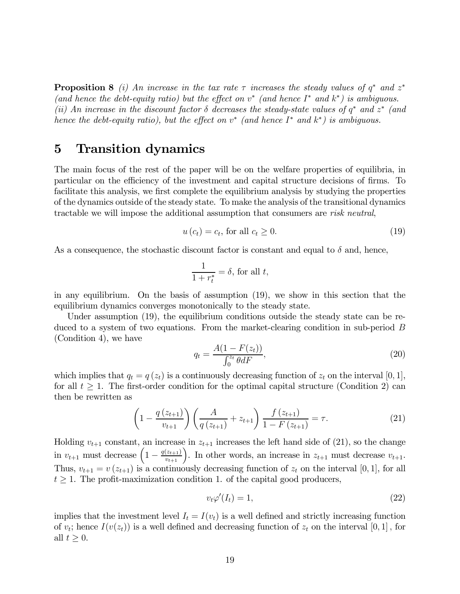**Proposition 8** (i) An increase in the tax rate  $\tau$  increases the steady values of  $q^*$  and  $z^*$ (and hence the debt-equity ratio) but the effect on  $v^*$  (and hence  $I^*$  and  $k^*$ ) is ambiguous. (ii) An increase in the discount factor  $\delta$  decreases the steady-state values of  $q^*$  and  $z^*$  (and hence the debt-equity ratio), but the effect on  $v^*$  (and hence  $I^*$  and  $k^*$ ) is ambiguous.

# 5 Transition dynamics

The main focus of the rest of the paper will be on the welfare properties of equilibria, in particular on the efficiency of the investment and capital structure decisions of firms. To facilitate this analysis, we first complete the equilibrium analysis by studying the properties of the dynamics outside of the steady state. To make the analysis of the transitional dynamics tractable we will impose the additional assumption that consumers are risk neutral,

$$
u\left(c_{t}\right)=c_{t},\,\text{for all}\,c_{t}\geq0.\tag{19}
$$

As a consequence, the stochastic discount factor is constant and equal to  $\delta$  and, hence,

$$
\frac{1}{1+r_t^*} = \delta, \text{ for all } t,
$$

in any equilibrium. On the basis of assumption (19), we show in this section that the equilibrium dynamics converges monotonically to the steady state.

Under assumption (19), the equilibrium conditions outside the steady state can be reduced to a system of two equations. From the market-clearing condition in sub-period  $B$ (Condition 4), we have

$$
q_t = \frac{A(1 - F(z_t))}{\int_0^{z_t} \theta dF},\tag{20}
$$

which implies that  $q_t = q(z_t)$  is a continuously decreasing function of  $z_t$  on the interval [0, 1], for all  $t \geq 1$ . The first-order condition for the optimal capital structure (Condition 2) can then be rewritten as

$$
\left(1 - \frac{q(z_{t+1})}{v_{t+1}}\right) \left(\frac{A}{q(z_{t+1})} + z_{t+1}\right) \frac{f(z_{t+1})}{1 - F(z_{t+1})} = \tau.
$$
\n(21)

Holding  $v_{t+1}$  constant, an increase in  $z_{t+1}$  increases the left hand side of (21), so the change in  $v_{t+1}$  must decrease  $\left(1 - \frac{q(z_{t+1})}{v_{t+1}}\right)$ . In other words, an increase in  $z_{t+1}$  must decrease  $v_{t+1}$ . Thus,  $v_{t+1} = v(z_{t+1})$  is a continuously decreasing function of  $z_t$  on the interval [0, 1], for all  $t \geq 1$ . The profit-maximization condition 1. of the capital good producers,

$$
v_t \varphi'(I_t) = 1,\tag{22}
$$

implies that the investment level  $I_t = I(v_t)$  is a well defined and strictly increasing function of  $v_t$ ; hence  $I(v(z_t))$  is a well defined and decreasing function of  $z_t$  on the interval [0, 1], for all  $t \geq 0$ .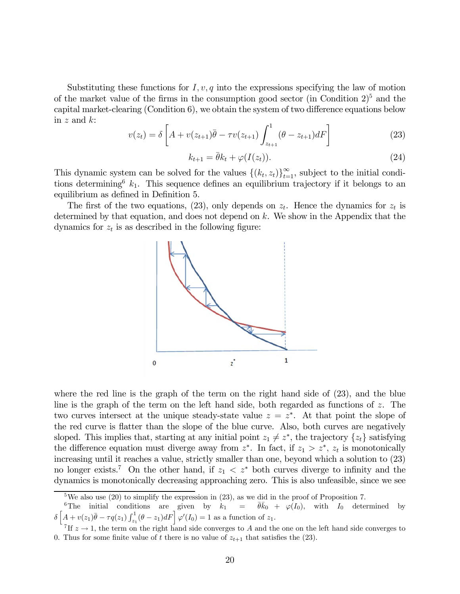Substituting these functions for  $I, v, q$  into the expressions specifying the law of motion of the market value of the firms in the consumption good sector (in Condition  $2^5$ ) and the capital market-clearing (Condition 6), we obtain the system of two difference equations below in  $z$  and  $k$ :

$$
v(z_t) = \delta \left[ A + v(z_{t+1})\bar{\theta} - \tau v(z_{t+1}) \int_{z_{t+1}}^1 (\theta - z_{t+1}) dF \right]
$$
 (23)

$$
k_{t+1} = \bar{\theta}k_t + \varphi(I(z_t)).
$$
\n(24)

This dynamic system can be solved for the values  $\{(k_t, z_t)\}_{t=1}^{\infty}$ , subject to the initial conditions determining  $k_1$ . This sequence defines an equilibrium trajectory if it belongs to an equilibrium as defined in Definition 5.

The first of the two equations, (23), only depends on  $z_t$ . Hence the dynamics for  $z_t$  is determined by that equation, and does not depend on  $k$ . We show in the Appendix that the dynamics for  $z_t$  is as described in the following figure:



where the red line is the graph of the term on the right hand side of (23), and the blue line is the graph of the term on the left hand side, both regarded as functions of  $z$ . The two curves intersect at the unique steady-state value  $z = z^*$ . At that point the slope of the red curve is flatter than the slope of the blue curve. Also, both curves are negatively sloped. This implies that, starting at any initial point  $z_1 \neq z^*$ , the trajectory  $\{z_t\}$  satisfying the difference equation must diverge away from  $z^*$ . In fact, if  $z_1 > z^*$ ,  $z_t$  is monotonically increasing until it reaches a value, strictly smaller than one, beyond which a solution to (23) no longer exists.<sup>7</sup> On the other hand, if  $z_1 < z^*$  both curves diverge to infinity and the dynamics is monotonically decreasing approaching zero. This is also unfeasible, since we see

<sup>&</sup>lt;sup>5</sup>We also use (20) to simplify the expression in (23), as we did in the proof of Proposition 7.

<sup>&</sup>lt;sup>6</sup>The initial conditions are given by  $k_1 = \overline{\theta} \overline{k}_0 + \varphi(I_0)$ , with  $I_0$  determined by  $\delta \left[ A + v(z_1) \bar{\theta} - \tau q(z_1) \int_{z_1}^1 (\theta - z_1) dF \right] \varphi'(I_0) = 1$  as a function of  $z_1$ .

<sup>&</sup>lt;sup>7</sup>If  $z \to 1$ , the term on the right hand side converges to A and the one on the left hand side converges to 0. Thus for some finite value of t there is no value of  $z_{t+1}$  that satisfies the (23).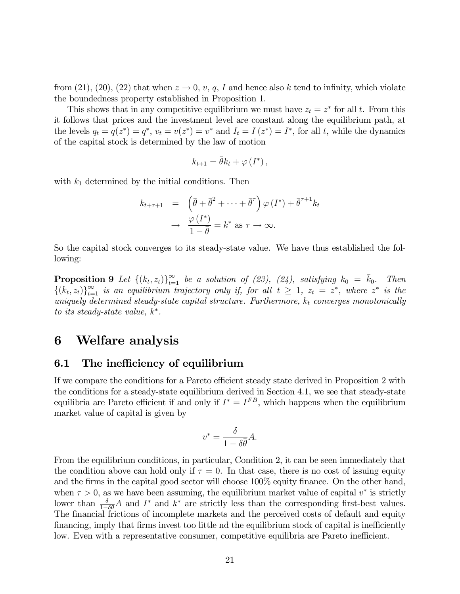from (21), (20), (22) that when  $z \to 0$ , v, q, I and hence also k tend to infinity, which violate the boundedness property established in Proposition 1.

This shows that in any competitive equilibrium we must have  $z_t = z^*$  for all t. From this it follows that prices and the investment level are constant along the equilibrium path, at the levels  $q_t = q(z^*) = q^*$ ,  $v_t = v(z^*) = v^*$  and  $I_t = I(z^*) = I^*$ , for all t, while the dynamics of the capital stock is determined by the law of motion

$$
k_{t+1} = \bar{\theta}k_t + \varphi(I^*),
$$

with  $k_1$  determined by the initial conditions. Then

$$
k_{t+\tau+1} = \left(\bar{\theta} + \bar{\theta}^2 + \dots + \bar{\theta}^\tau\right) \varphi(I^*) + \bar{\theta}^{\tau+1} k_t
$$

$$
\to \frac{\varphi(I^*)}{1-\bar{\theta}} = k^* \text{ as } \tau \to \infty.
$$

So the capital stock converges to its steady-state value. We have thus established the following:

**Proposition 9** Let  $\{(k_t, z_t)\}_{t=1}^{\infty}$  be a solution of (23), (24), satisfying  $k_0 = \bar{k}_0$ . Then  $\{(k_t, z_t)\}_{t=1}^{\infty}$  is an equilibrium trajectory only if, for all  $t \geq 1$ ,  $z_t = z^*$ , where  $z^*$  is the uniquely determined steady-state capital structure. Furthermore,  $k_t$  converges monotonically to its steady-state value,  $k^*$ .

# 6 Welfare analysis

## 6.1 The inefficiency of equilibrium

If we compare the conditions for a Pareto efficient steady state derived in Proposition 2 with the conditions for a steady-state equilibrium derived in Section 4.1, we see that steady-state equilibria are Pareto efficient if and only if  $I^* = I^{FB}$ , which happens when the equilibrium market value of capital is given by

$$
v^* = \frac{\delta}{1 - \delta \bar{\theta}} A.
$$

From the equilibrium conditions, in particular, Condition 2, it can be seen immediately that the condition above can hold only if  $\tau = 0$ . In that case, there is no cost of issuing equity and the firms in the capital good sector will choose 100% equity finance. On the other hand, when  $\tau > 0$ , as we have been assuming, the equilibrium market value of capital  $v^*$  is strictly lower than  $\frac{\delta}{1-\delta\theta}A$  and  $I^*$  and  $k^*$  are strictly less than the corresponding first-best values. The financial frictions of incomplete markets and the perceived costs of default and equity financing, imply that firms invest too little nd the equilibrium stock of capital is inefficiently low. Even with a representative consumer, competitive equilibria are Pareto inefficient.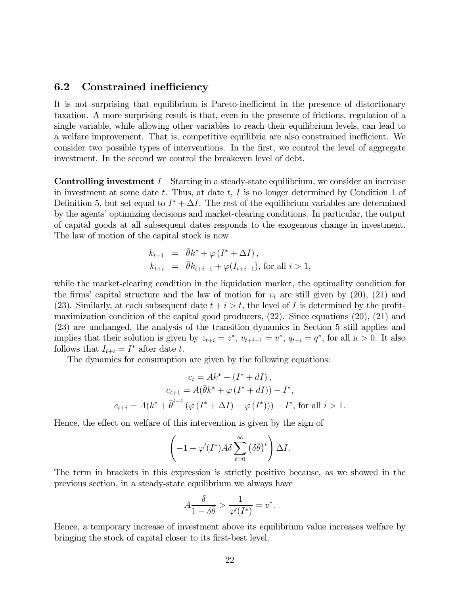### 6.2 Constrained inefficiency

It is not surprising that equilibrium is Pareto-inefficient in the presence of distortionary taxation. A more surprising result is that, even in the presence of frictions, regulation of a single variable, while allowing other variables to reach their equilibrium levels, can lead to a welfare improvement. That is, competitive equilibria are also constrained inefficient. We consider two possible types of interventions. In the first, we control the level of aggregate investment. In the second we control the breakeven level of debt.

**Controlling investment**  $I$  Starting in a steady-state equilibrium, we consider an increase in investment at some date  $t$ . Thus, at date  $t$ ,  $I$  is no longer determined by Condition 1 of Definition 5, but set equal to  $I^* + \Delta I$ . The rest of the equilibrium variables are determined by the agents' optimizing decisions and market-clearing conditions. In particular, the output of capital goods at all subsequent dates responds to the exogenous change in investment. The law of motion of the capital stock is now

$$
k_{t+1} = \bar{\theta}k^* + \varphi(I^* + \Delta I),
$$
  
\n
$$
k_{t+i} = \bar{\theta}k_{t+i-1} + \varphi(I_{t+i-1}), \text{ for all } i > 1,
$$

while the market-clearing condition in the liquidation market, the optimality condition for the firms' capital structure and the law of motion for  $v_t$  are still given by (20), (21) and (23). Similarly, at each subsequent date  $t + i > t$ , the level of I is determined by the profitmaximization condition of the capital good producers, (22). Since equations (20), (21) and (23) are unchanged, the analysis of the transition dynamics in Section 5 still applies and implies that their solution is given by  $z_{t+i} = z^*$ ,  $v_{t+i-1} = v^*$ ,  $q_{t+i} = q^*$ , for all  $i \geq 0$ . It also follows that  $I_{t+i} = I^*$  after date t.

The dynamics for consumption are given by the following equations:

$$
c_t = Ak^* - (I^* + dI),
$$
  
\n
$$
c_{t+1} = A(\bar{\theta}k^* + \varphi(I^* + dI)) - I^*,
$$
  
\n
$$
c_{t+i} = A(k^* + \bar{\theta}^{i-1}(\varphi(I^* + \Delta I) - \varphi(I^*))) - I^*,
$$
 for all  $i > 1$ .

Hence, the effect on welfare of this intervention is given by the sign of

$$
\left(-1+\varphi'(I^*)A\delta\sum_{t=0}^{\infty}(\delta\bar{\theta})^t\right)\Delta I.
$$

The term in brackets in this expression is strictly positive because, as we showed in the previous section, in a steady-state equilibrium we always have

$$
A\frac{\delta}{1-\delta\overline{\theta}} > \frac{1}{\varphi'(I^*)} = v^*.
$$

Hence, a temporary increase of investment above its equilibrium value increases welfare by bringing the stock of capital closer to its first-best level.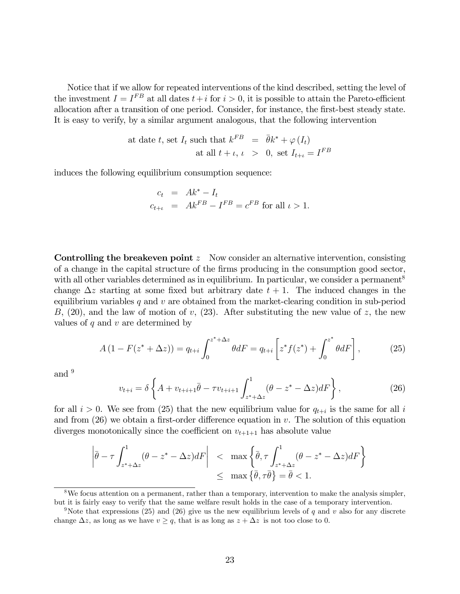Notice that if we allow for repeated interventions of the kind described, setting the level of the investment  $I = I^{FB}$  at all dates  $t + i$  for  $i > 0$ , it is possible to attain the Pareto-efficient allocation after a transition of one period. Consider, for instance, the first-best steady state. It is easy to verify, by a similar argument analogous, that the following intervention

at date *t*, set 
$$
I_t
$$
 such that  $k^{FB} = \bar{\theta}k^* + \varphi(I_t)$   
at all  $t + \iota$ ,  $\iota > 0$ , set  $I_{t+\iota} = I^{FB}$ 

induces the following equilibrium consumption sequence:

$$
c_t = Ak^* - I_t
$$
  
\n
$$
c_{t+\iota} = Ak^{FB} - I^{FB} = c^{FB} \text{ for all } \iota > 1.
$$

**Controlling the breakeven point**  $z$  Now consider an alternative intervention, consisting of a change in the capital structure of the firms producing in the consumption good sector, with all other variables determined as in equilibrium. In particular, we consider a permanent<sup>8</sup> change  $\Delta z$  starting at some fixed but arbitrary date  $t + 1$ . The induced changes in the equilibrium variables  $q$  and  $v$  are obtained from the market-clearing condition in sub-period  $B, (20)$ , and the law of motion of v,  $(23)$ . After substituting the new value of z, the new values of  $q$  and  $v$  are determined by

$$
A(1 - F(z^* + \Delta z)) = q_{t+i} \int_0^{z^* + \Delta z} \theta dF = q_{t+i} \left[ z^* f(z^*) + \int_0^{z^*} \theta dF \right],
$$
 (25)

and 9

$$
v_{t+i} = \delta \left\{ A + v_{t+i+1} \bar{\theta} - \tau v_{t+i+1} \int_{z^* + \Delta z}^1 (\theta - z^* - \Delta z) dF \right\},\tag{26}
$$

for all  $i > 0$ . We see from (25) that the new equilibrium value for  $q_{t+i}$  is the same for all i and from  $(26)$  we obtain a first-order difference equation in v. The solution of this equation diverges monotonically since the coefficient on  $v_{t+1+1}$  has absolute value

$$
\left| \bar{\theta} - \tau \int_{z^* + \Delta z}^1 (\theta - z^* - \Delta z) dF \right| < \max \left\{ \bar{\theta}, \tau \int_{z^* + \Delta z}^1 (\theta - z^* - \Delta z) dF \right\}
$$
  

$$
\leq \max \left\{ \bar{\theta}, \tau \bar{\theta} \right\} = \bar{\theta} < 1.
$$

<sup>8</sup>We focus attention on a permanent, rather than a temporary, intervention to make the analysis simpler, but it is fairly easy to verify that the same welfare result holds in the case of a temporary intervention.

<sup>&</sup>lt;sup>9</sup>Note that expressions (25) and (26) give us the new equilibrium levels of  $q$  and  $v$  also for any discrete change  $\Delta z$ , as long as we have  $v \geq q$ , that is as long as  $z + \Delta z$  is not too close to 0.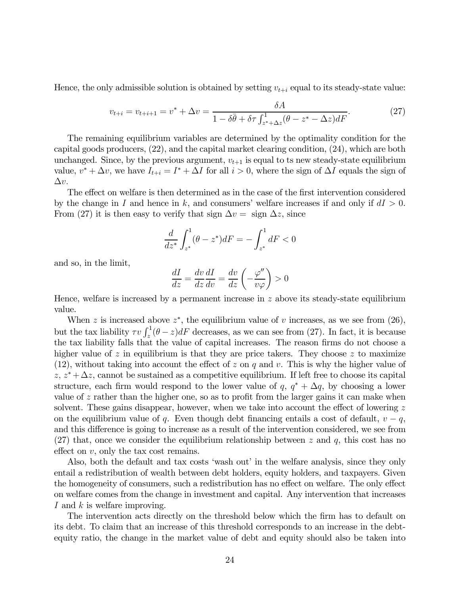Hence, the only admissible solution is obtained by setting  $v_{t+i}$  equal to its steady-state value:

$$
v_{t+i} = v_{t+i+1} = v^* + \Delta v = \frac{\delta A}{1 - \delta \bar{\theta} + \delta \tau \int_{z^* + \Delta z}^1 (\theta - z^* - \Delta z) dF}.
$$
 (27)

The remaining equilibrium variables are determined by the optimality condition for the capital goods producers, (22), and the capital market clearing condition, (24), which are both unchanged. Since, by the previous argument,  $v_{t+1}$  is equal to ts new steady-state equilibrium value,  $v^* + \Delta v$ , we have  $I_{t+i} = I^* + \Delta I$  for all  $i > 0$ , where the sign of  $\Delta I$  equals the sign of  $\Delta v$ .

The effect on welfare is then determined as in the case of the first intervention considered by the change in I and hence in k, and consumers' welfare increases if and only if  $dI > 0$ . From (27) it is then easy to verify that sign  $\Delta v = \text{sign} \ \Delta z$ , since

$$
\frac{d}{dz^*} \int_{z^*}^1 (\theta - z^*) dF = - \int_{z^*}^1 dF < 0
$$

and so, in the limit,

$$
\frac{dI}{dz} = \frac{dv}{dz}\frac{dI}{dv} = \frac{dv}{dz}\left(-\frac{\varphi''}{v\varphi}\right) > 0
$$

Hence, welfare is increased by a permanent increase in  $z$  above its steady-state equilibrium value.

When z is increased above  $z^*$ , the equilibrium value of  $v$  increases, as we see from (26), but the tax liability  $\tau v \int_z^1 (\theta - z) dF$  decreases, as we can see from (27). In fact, it is because the tax liability falls that the value of capital increases. The reason firms do not choose a higher value of  $z$  in equilibrium is that they are price takers. They choose  $z$  to maximize (12), without taking into account the effect of  $z$  on  $q$  and  $v$ . This is why the higher value of  $z, z^* + \Delta z$ , cannot be sustained as a competitive equilibrium. If left free to choose its capital structure, each firm would respond to the lower value of  $q, q^* + \Delta q$ , by choosing a lower value of  $z$  rather than the higher one, so as to profit from the larger gains it can make when solvent. These gains disappear, however, when we take into account the effect of lowering  $z$ on the equilibrium value of q. Even though debt financing entails a cost of default,  $v - q$ , and this difference is going to increase as a result of the intervention considered, we see from  $(27)$  that, once we consider the equilibrium relationship between z and q, this cost has no effect on  $v$ , only the tax cost remains.

Also, both the default and tax costs 'wash out' in the welfare analysis, since they only entail a redistribution of wealth between debt holders, equity holders, and taxpayers Given the homogeneity of consumers, such a redistribution has no effect on welfare. The only effect on welfare comes from the change in investment and capital. Any intervention that increases I and  $k$  is welfare improving.

The intervention acts directly on the threshold below which the firm has to default on its debt. To claim that an increase of this threshold corresponds to an increase in the debtequity ratio, the change in the market value of debt and equity should also be taken into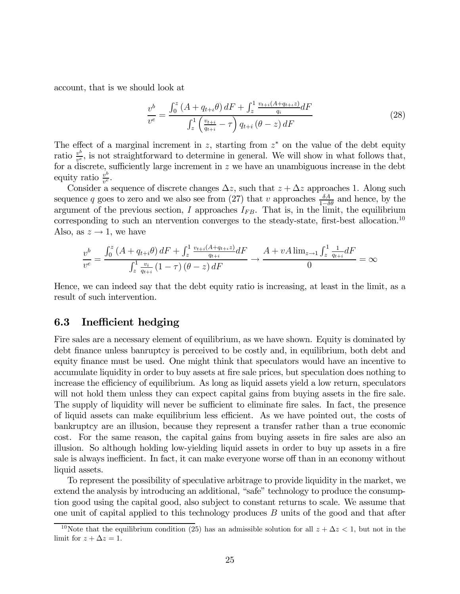account, that is we should look at

$$
\frac{v^b}{v^e} = \frac{\int_0^z (A + q_{t+i}\theta) dF + \int_z^1 \frac{v_{t+i}(A + q_{t+i}z)}{q_i} dF}{\int_z^1 \left(\frac{v_{t+i}}{q_{t+i}} - \tau\right) q_{t+i} (\theta - z) dF}
$$
(28)

The effect of a marginal increment in z, starting from  $z^*$  on the value of the debt equity ratio  $\frac{v^b}{v^e}$ , is not straightforward to determine in general. We will show in what follows that, for a discrete, sufficiently large increment in  $z$  we have an unambiguous increase in the debt equity ratio  $\frac{v^b}{v^e}$ .

Consider a sequence of discrete changes  $\Delta z$ , such that  $z + \Delta z$  approaches 1. Along such sequence q goes to zero and we also see from (27) that v approaches  $\frac{\delta A}{1-\delta \theta}$  and hence, by the argument of the previous section,  $I$  approaches  $I_{FB}$ . That is, in the limit, the equilibrium corresponding to such an ntervention converges to the steady-state, first-best allocation.10 Also, as  $z \to 1$ , we have

$$
\frac{v^{b}}{v^{e}} = \frac{\int_{0}^{z} (A + q_{t+i}\theta) dF + \int_{z}^{1} \frac{v_{t+i}(A + q_{t+i}z)}{q_{t+i}} dF}{\int_{z}^{1} \frac{v_{i}}{q_{t+i}} (1 - \tau) (\theta - z) dF} \to \frac{A + vA \lim_{z \to 1} \int_{z}^{1} \frac{1}{q_{t+i}} dF}{0} = \infty
$$

Hence, we can indeed say that the debt equity ratio is increasing, at least in the limit, as a result of such intervention.

### 6.3 Inefficient hedging

Fire sales are a necessary element of equilibrium, as we have shown. Equity is dominated by debt finance unless banruptcy is perceived to be costly and, in equilibrium, both debt and equity finance must be used. One might think that speculators would have an incentive to accumulate liquidity in order to buy assets at fire sale prices, but speculation does nothing to increase the efficiency of equilibrium. As long as liquid assets yield a low return, speculators will not hold them unless they can expect capital gains from buying assets in the fire sale. The supply of liquidity will never be sufficient to eliminate fire sales. In fact, the presence of liquid assets can make equilibrium less efficient. As we have pointed out, the costs of bankruptcy are an illusion, because they represent a transfer rather than a true economic cost. For the same reason, the capital gains from buying assets in fire sales are also an illusion. So although holding low-yielding liquid assets in order to buy up assets in a fire sale is always inefficient. In fact, it can make everyone worse off than in an economy without liquid assets.

To represent the possibility of speculative arbitrage to provide liquidity in the market, we extend the analysis by introducing an additional, "safe" technology to produce the consumption good using the capital good, also subject to constant returns to scale. We assume that one unit of capital applied to this technology produces  $B$  units of the good and that after

<sup>&</sup>lt;sup>10</sup>Note that the equilibrium condition (25) has an admissible solution for all  $z + \Delta z < 1$ , but not in the limit for  $z + \Delta z = 1$ .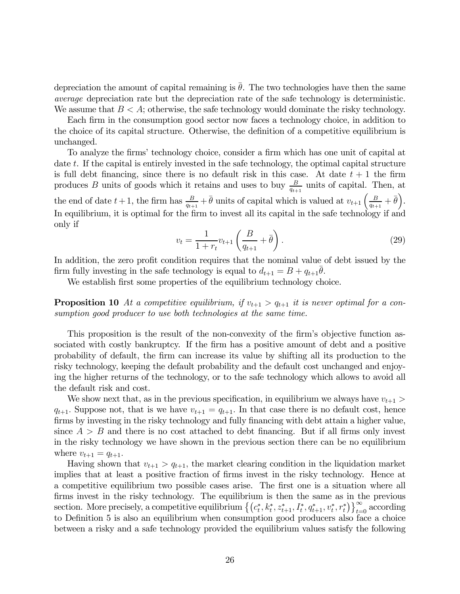depreciation the amount of capital remaining is  $\bar{\theta}$ . The two technologies have then the same average depreciation rate but the depreciation rate of the safe technology is deterministic. We assume that  $B < A$ ; otherwise, the safe technology would dominate the risky technology.

Each firm in the consumption good sector now faces a technology choice, in addition to the choice of its capital structure. Otherwise, the definition of a competitive equilibrium is unchanged.

To analyze the firms' technology choice, consider a firm which has one unit of capital at date  $t$ . If the capital is entirely invested in the safe technology, the optimal capital structure is full debt financing, since there is no default risk in this case. At date  $t + 1$  the firm produces B units of goods which it retains and uses to buy  $\frac{B}{q_{t+1}}$  units of capital. Then, at the end of date  $t + 1$ , the firm has  $\frac{B}{q_{t+1}} + \bar{\theta}$  units of capital which is valued at  $v_{t+1} \left( \frac{B}{q_{t+1}} + \bar{\theta} \right)$ . In equilibrium, it is optimal for the firm to invest all its capital in the safe technology if and only if

$$
v_t = \frac{1}{1 + r_t} v_{t+1} \left( \frac{B}{q_{t+1}} + \bar{\theta} \right).
$$
 (29)

In addition, the zero profit condition requires that the nominal value of debt issued by the firm fully investing in the safe technology is equal to  $d_{t+1} = B + q_{t+1}\theta$ .

We establish first some properties of the equilibrium technology choice.

**Proposition 10** At a competitive equilibrium, if  $v_{t+1} > q_{t+1}$  it is never optimal for a consumption good producer to use both technologies at the same time.

This proposition is the result of the non-convexity of the firm's objective function associated with costly bankruptcy. If the firm has a positive amount of debt and a positive probability of default, the firm can increase its value by shifting all its production to the risky technology, keeping the default probability and the default cost unchanged and enjoying the higher returns of the technology, or to the safe technology which allows to avoid all the default risk and cost.

We show next that, as in the previous specification, in equilibrium we always have  $v_{t+1}$  $q_{t+1}$ . Suppose not, that is we have  $v_{t+1} = q_{t+1}$ . In that case there is no default cost, hence firms by investing in the risky technology and fully financing with debt attain a higher value, since  $A > B$  and there is no cost attached to debt financing. But if all firms only invest in the risky technology we have shown in the previous section there can be no equilibrium where  $v_{t+1} = q_{t+1}$ .

Having shown that  $v_{t+1} > q_{t+1}$ , the market clearing condition in the liquidation market implies that at least a positive fraction of firms invest in the risky technology. Hence at a competitive equilibrium two possible cases arise. The first one is a situation where all firms invest in the risky technology. The equilibrium is then the same as in the previous section. More precisely, a competitive equilibrium  $\{(c_t^*, k_t^*, z_{t+1}^*, I_t^*, q_{t+1}^*, v_t^*, r_t^*)\}_{t=0}^{\infty}$  according to Definition 5 is also an equilibrium when consumption good producers also face a choice between a risky and a safe technology provided the equilibrium values satisfy the following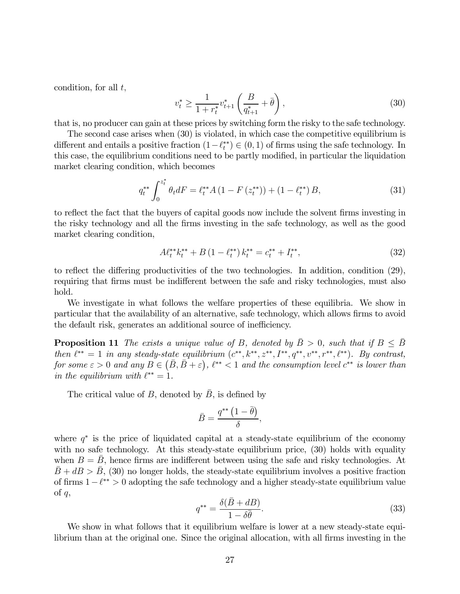condition, for all  $t$ ,

$$
v_t^* \ge \frac{1}{1 + r_t^*} v_{t+1}^* \left(\frac{B}{q_{t+1}^*} + \bar{\theta}\right),\tag{30}
$$

that is, no producer can gain at these prices by switching form the risky to the safe technology.

The second case arises when (30) is violated, in which case the competitive equilibrium is different and entails a positive fraction  $(1 - \ell_t^{**}) \in (0, 1)$  of firms using the safe technology. In this case, the equilibrium conditions need to be partly modified, in particular the liquidation market clearing condition, which becomes

$$
q_t^{**} \int_0^{z_t^*} \theta_t dF = \ell_t^{**} A \left( 1 - F \left( z_t^{**} \right) \right) + \left( 1 - \ell_t^{**} \right) B, \tag{31}
$$

to reflect the fact that the buyers of capital goods now include the solvent firms investing in the risky technology and all the firms investing in the safe technology, as well as the good market clearing condition,

$$
A\ell_t^{**}k_t^{**} + B\left(1 - \ell_t^{**}\right)k_t^{**} = c_t^{**} + I_t^{**},\tag{32}
$$

to reflect the differing productivities of the two technologies. In addition, condition (29), requiring that firms must be indifferent between the safe and risky technologies, must also hold.

We investigate in what follows the welfare properties of these equilibria. We show in particular that the availability of an alternative, safe technology, which allows firms to avoid the default risk, generates an additional source of inefficiency.

**Proposition 11** The exists a unique value of B, denoted by  $\bar{B} > 0$ , such that if  $B \leq \bar{B}$ then  $\ell^{**} = 1$  in any steady-state equilibrium  $(c^{**}, k^{**}, z^{**}, I^{**}, q^{**}, v^{**}, r^{**}, \ell^{**})$ . By contrast, for some  $\varepsilon > 0$  and any  $B \in (\bar{B}, \bar{B} + \varepsilon), \ell^{**} < 1$  and the consumption level  $c^{**}$  is lower than in the equilibrium with  $\ell^{**} = 1$ .

The critical value of B, denoted by  $\bar{B}$ , is defined by

$$
\bar{B} = \frac{q^{**} (1 - \bar{\theta})}{\delta},
$$

where  $q^*$  is the price of liquidated capital at a steady-state equilibrium of the economy with no safe technology. At this steady-state equilibrium price,  $(30)$  holds with equality when  $B = \bar{B}$ , hence firms are indifferent between using the safe and risky technologies. At  $\bar{B} + dB > \bar{B}$ , (30) no longer holds, the steady-state equilibrium involves a positive fraction of firms  $1-\ell^{**} > 0$  adopting the safe technology and a higher steady-state equilibrium value of  $q$ ,

$$
q^{**} = \frac{\delta(\bar{B} + dB)}{1 - \delta\bar{\theta}}.\tag{33}
$$

We show in what follows that it equilibrium welfare is lower at a new steady-state equilibrium than at the original one. Since the original allocation, with all firms investing in the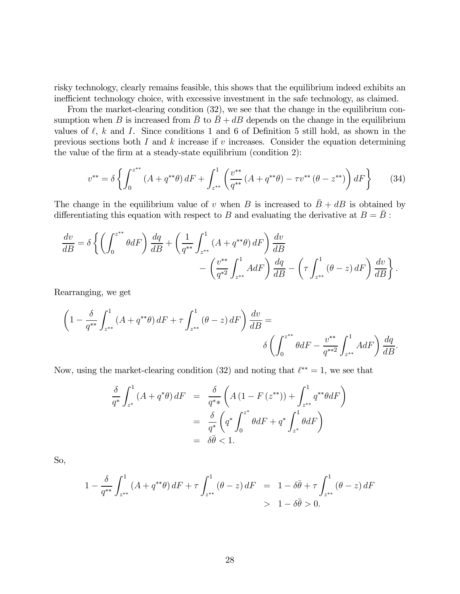risky technology, clearly remains feasible, this shows that the equilibrium indeed exhibits an inefficient technology choice, with excessive investment in the safe technology, as claimed.

From the market-clearing condition (32), we see that the change in the equilibrium consumption when B is increased from  $\bar{B}$  to  $\bar{B} + dB$  depends on the change in the equilibrium values of  $\ell$ ,  $k$  and  $I$ . Since conditions 1 and 6 of Definition 5 still hold, as shown in the previous sections both  $I$  and  $k$  increases if  $v$  increases. Consider the equation determining the value of the firm at a steady-state equilibrium (condition 2):

$$
v^{**} = \delta \left\{ \int_0^{z^{**}} (A + q^{**}\theta) dF + \int_{z^{**}}^1 \left( \frac{v^{**}}{q^{**}} (A + q^{**}\theta) - \tau v^{**} (\theta - z^{**}) \right) dF \right\}
$$
(34)

The change in the equilibrium value of v when B is increased to  $\bar{B} + dB$  is obtained by differentiating this equation with respect to  $B$  and evaluating the derivative at  $B = B$ :

$$
\frac{dv}{dB} = \delta \left\{ \left( \int_0^{z^{**}} \theta dF \right) \frac{dq}{dB} + \left( \frac{1}{q^{**}} \int_{z^{**}}^1 (A + q^{**}\theta) dF \right) \frac{dv}{dB} - \left( \frac{v^{**}}{q^{*2}} \int_{z^{**}}^1 A dF \right) \frac{dq}{dB} - \left( \tau \int_{z^{**}}^1 (\theta - z) dF \right) \frac{dv}{dB} \right\}.
$$

Rearranging, we get

$$
\left(1 - \frac{\delta}{q^{**}} \int_{z^{**}}^1 (A + q^{**}\theta) dF + \tau \int_{z^{**}}^1 (\theta - z) dF\right) \frac{dv}{dB} =
$$

$$
\delta \left(\int_0^{z^{**}} \theta dF - \frac{v^{**}}{q^{**2}} \int_{z^{**}}^1 A dF\right) \frac{dq}{dB}.
$$

Now, using the market-clearing condition (32) and noting that  $\ell^{**} = 1$ , we see that

$$
\frac{\delta}{q^*} \int_{z^*}^1 (A + q^*\theta) dF = \frac{\delta}{q^* *} \left( A \left( 1 - F \left( z^{**} \right) \right) + \int_{z^{**}}^1 q^{**} \theta dF \right)
$$

$$
= \frac{\delta}{q^*} \left( q^* \int_0^{z^*} \theta dF + q^* \int_{z^*}^1 \theta dF \right)
$$

$$
= \delta \overline{\theta} < 1.
$$

So,

$$
1 - \frac{\delta}{q^{**}} \int_{z^{**}}^1 (A + q^{**}\theta) dF + \tau \int_{z^{**}}^1 (\theta - z) dF = 1 - \delta\bar{\theta} + \tau \int_{z^{**}}^1 (\theta - z) dF
$$
  
> 1 - \delta\bar{\theta} > 0.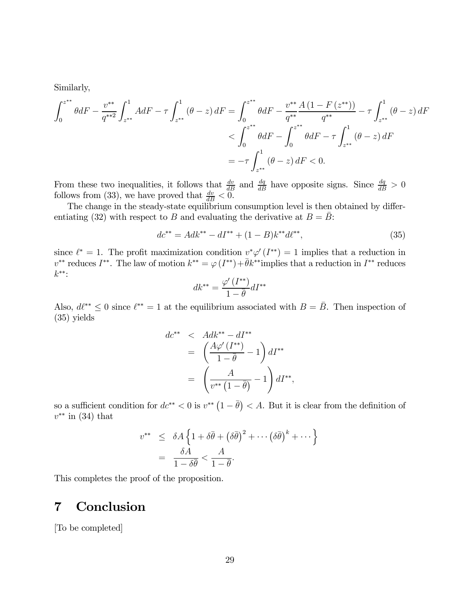Similarly,

$$
\int_{0}^{z^{**}} \theta dF - \frac{v^{**}}{q^{**2}} \int_{z^{**}}^{1} A dF - \tau \int_{z^{**}}^{1} (\theta - z) dF = \int_{0}^{z^{**}} \theta dF - \frac{v^{**}}{q^{**}} \frac{A (1 - F (z^{**}))}{q^{**}} - \tau \int_{z^{**}}^{1} (\theta - z) dF
$$
  

$$
< \int_{0}^{z^{**}} \theta dF - \int_{0}^{z^{**}} \theta dF - \tau \int_{z^{**}}^{1} (\theta - z) dF
$$
  

$$
= -\tau \int_{z^{**}}^{1} (\theta - z) dF < 0.
$$

From these two inequalities, it follows that  $\frac{dv}{dB}$  and  $\frac{dq}{dB}$  have opposite signs. Since  $\frac{dq}{dB} > 0$ follows from (33), we have proved that  $\frac{dv}{dB} < 0$ .

The change in the steady-state equilibrium consumption level is then obtained by differentiating (32) with respect to B and evaluating the derivative at  $B = \overline{B}$ :

$$
dc^{**} = Adk^{**} - dI^{**} + (1 - B)k^{**}d\ell^{**},\tag{35}
$$

since  $\ell^* = 1$ . The profit maximization condition  $v^* \varphi'(I^{**}) = 1$  implies that a reduction in  $v^{**}$  reduces  $I^{**}$ . The law of motion  $k^{**} = \varphi(I^{**})+\bar{\theta}k^{**}$  implies that a reduction in  $I^{**}$  reduces ∗∗:

$$
dk^{**} = \frac{\varphi'(I^{**})}{1 - \overline{\theta}} dI^{**}
$$

Also,  $d\ell^{**} \leq 0$  since  $\ell^{**} = 1$  at the equilibrium associated with  $B = \bar{B}$ . Then inspection of (35) yields

$$
dc^{**} < Adk^{**} - dI^{**}
$$
  
=  $\left(\frac{A\varphi'(I^{**})}{1 - \bar{\theta}} - 1\right) dI^{**}$   
=  $\left(\frac{A}{v^{**} (1 - \bar{\theta})} - 1\right) dI^{**},$ 

so a sufficient condition for  $dc^{**} < 0$  is  $v^{**} (1 - \bar{\theta}) < A$ . But it is clear from the definition of  $v^{**}$  in (34) that

$$
v^{**} \leq \delta A \left\{ 1 + \delta \bar{\theta} + \left( \delta \bar{\theta} \right)^2 + \cdots \left( \delta \bar{\theta} \right)^k + \cdots \right\}
$$

$$
= \frac{\delta A}{1 - \delta \bar{\theta}} < \frac{A}{1 - \bar{\theta}}.
$$

This completes the proof of the proposition.

# 7 Conclusion

[To be completed]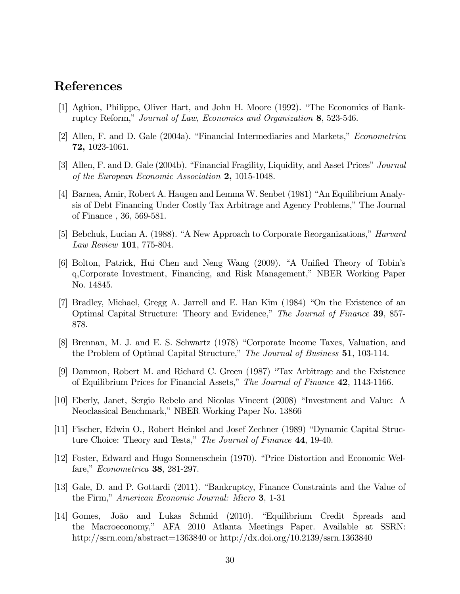# References

- [1] Aghion, Philippe, Oliver Hart, and John H. Moore (1992). "The Economics of Bankruptcy Reform," Journal of Law, Economics and Organization 8, 523-546.
- [2] Allen, F. and D. Gale (2004a). "Financial Intermediaries and Markets," Econometrica 72, 1023-1061.
- [3] Allen, F. and D. Gale (2004b). "Financial Fragility, Liquidity, and Asset Prices" Journal of the European Economic Association 2, 1015-1048.
- [4] Barnea, Amir, Robert A. Haugen and Lemma W. Senbet (1981) "An Equilibrium Analysis of Debt Financing Under Costly Tax Arbitrage and Agency Problems," The Journal of Finance , 36, 569-581.
- [5] Bebchuk, Lucian A. (1988). "A New Approach to Corporate Reorganizations," Harvard Law Review 101, 775-804.
- [6] Bolton, Patrick, Hui Chen and Neng Wang (2009). "A Unified Theory of Tobin's q,Corporate Investment, Financing, and Risk Management," NBER Working Paper No. 14845.
- [7] Bradley, Michael, Gregg A. Jarrell and E. Han Kim (1984) "On the Existence of an Optimal Capital Structure: Theory and Evidence," The Journal of Finance 39, 857- 878.
- [8] Brennan, M. J. and E. S. Schwartz (1978) "Corporate Income Taxes, Valuation, and the Problem of Optimal Capital Structure," The Journal of Business 51, 103-114.
- [9] Dammon, Robert M. and Richard C. Green (1987) "Tax Arbitrage and the Existence of Equilibrium Prices for Financial Assets," The Journal of Finance 42, 1143-1166.
- [10] Eberly, Janet, Sergio Rebelo and Nicolas Vincent (2008) "Investment and Value: A Neoclassical Benchmark," NBER Working Paper No. 13866
- [11] Fischer, Edwin O., Robert Heinkel and Josef Zechner (1989) "Dynamic Capital Structure Choice: Theory and Tests," The Journal of Finance 44, 19-40.
- [12] Foster, Edward and Hugo Sonnenschein (1970). "Price Distortion and Economic Welfare," Econometrica 38, 281-297.
- [13] Gale, D. and P. Gottardi (2011). "Bankruptcy, Finance Constraints and the Value of the Firm," American Economic Journal: Micro 3, 1-31
- [14] Gomes, João and Lukas Schmid (2010). "Equilibrium Credit Spreads and the Macroeconomy," AFA 2010 Atlanta Meetings Paper. Available at SSRN: http://ssrn.com/abstract=1363840 or http://dx.doi.org/10.2139/ssrn.1363840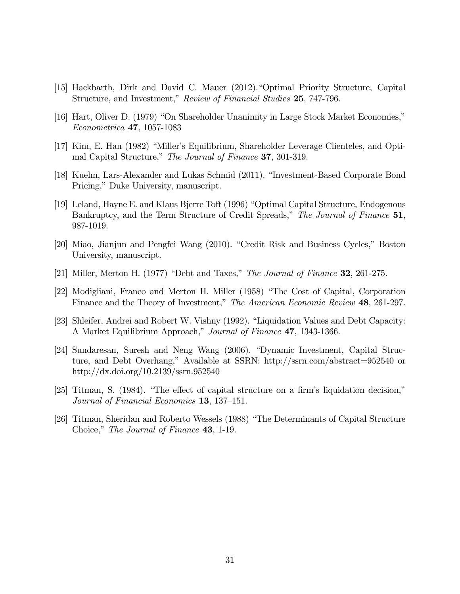- [15] Hackbarth, Dirk and David C. Mauer (2012)."Optimal Priority Structure, Capital Structure, and Investment," Review of Financial Studies 25, 747-796.
- [16] Hart, Oliver D. (1979) "On Shareholder Unanimity in Large Stock Market Economies," Econometrica 47, 1057-1083
- [17] Kim, E. Han (1982) "Miller's Equilibrium, Shareholder Leverage Clienteles, and Optimal Capital Structure," The Journal of Finance 37, 301-319.
- [18] Kuehn, Lars-Alexander and Lukas Schmid (2011). "Investment-Based Corporate Bond Pricing," Duke University, manuscript.
- [19] Leland, Hayne E. and Klaus Bjerre Toft (1996) "Optimal Capital Structure, Endogenous Bankruptcy, and the Term Structure of Credit Spreads," The Journal of Finance 51, 987-1019.
- [20] Miao, Jianjun and Pengfei Wang (2010). "Credit Risk and Business Cycles," Boston University, manuscript.
- [21] Miller, Merton H. (1977) "Debt and Taxes," The Journal of Finance 32, 261-275.
- [22] Modigliani, Franco and Merton H. Miller (1958) "The Cost of Capital, Corporation Finance and the Theory of Investment," The American Economic Review 48, 261-297.
- [23] Shleifer, Andrei and Robert W. Vishny (1992). "Liquidation Values and Debt Capacity: A Market Equilibrium Approach," Journal of Finance 47, 1343-1366.
- [24] Sundaresan, Suresh and Neng Wang (2006). "Dynamic Investment, Capital Structure, and Debt Overhang," Available at SSRN: http://ssrn.com/abstract=952540 or http://dx.doi.org/10.2139/ssrn.952540
- [25] Titman, S. (1984). "The effect of capital structure on a firm's liquidation decision," Journal of Financial Economics 13, 137—151.
- [26] Titman, Sheridan and Roberto Wessels (1988) "The Determinants of Capital Structure Choice," The Journal of Finance 43, 1-19.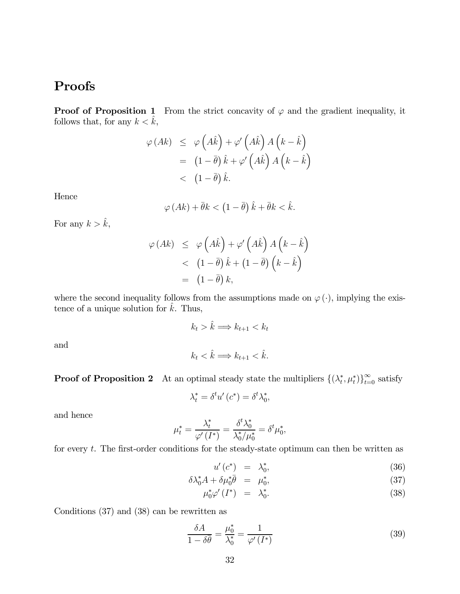# Proofs

**Proof of Proposition 1** From the strict concavity of  $\varphi$  and the gradient inequality, it follows that, for any  $k < \hat{k}$ ,

$$
\varphi\left(Ak\right) \leq \varphi\left(A\hat{k}\right) + \varphi'\left(A\hat{k}\right)A\left(k - \hat{k}\right)
$$

$$
= (1 - \bar{\theta})\hat{k} + \varphi'\left(A\hat{k}\right)A\left(k - \hat{k}\right)
$$

$$
< (1 - \bar{\theta})\hat{k}.
$$

Hence

$$
\varphi\left(Ak\right) + \bar{\theta}k < \left(1 - \bar{\theta}\right)\hat{k} + \bar{\theta}k < \hat{k}.
$$

For any  $k > \hat{k}$ ,

$$
\varphi\left(Ak\right) \leq \varphi\left(A\hat{k}\right) + \varphi'\left(A\hat{k}\right)A\left(k-\hat{k}\right) \n< \left(1-\bar{\theta}\right)\hat{k} + \left(1-\bar{\theta}\right)\left(k-\hat{k}\right) \n= \left(1-\bar{\theta}\right)k,
$$

where the second inequality follows from the assumptions made on  $\varphi(\cdot)$ , implying the existence of a unique solution for  $\hat{k}$ . Thus,

$$
k_t > \hat{k} \Longrightarrow k_{t+1} < k_t
$$

and

$$
k_t < \hat{k} \Longrightarrow k_{t+1} < \hat{k}.
$$

**Proof of Proposition 2** At an optimal steady state the multipliers  $\{(\lambda_t^*, \mu_t^*)\}_{t=0}^{\infty}$  satisfy

$$
\lambda_t^* = \delta^t u' (c^*) = \delta^t \lambda_0^*,
$$

and hence

$$
\mu_t^* = \frac{\lambda_t^*}{\varphi'\left(I^*\right)} = \frac{\delta^t \lambda_0^*}{\lambda_0^*/\mu_0^*} = \delta^t \mu_0^*,
$$

for every  $t$ . The first-order conditions for the steady-state optimum can then be written as

$$
u'(c^*) = \lambda_0^*, \tag{36}
$$

$$
\delta \lambda_0^* A + \delta \mu_0^* \overline{\theta} = \mu_0^*, \tag{37}
$$

$$
\mu_0^* \varphi'(I^*) = \lambda_0^*.
$$
\n(38)

Conditions (37) and (38) can be rewritten as

$$
\frac{\delta A}{1 - \delta \bar{\theta}} = \frac{\mu_0^*}{\lambda_0^*} = \frac{1}{\varphi'(I^*)}
$$
\n(39)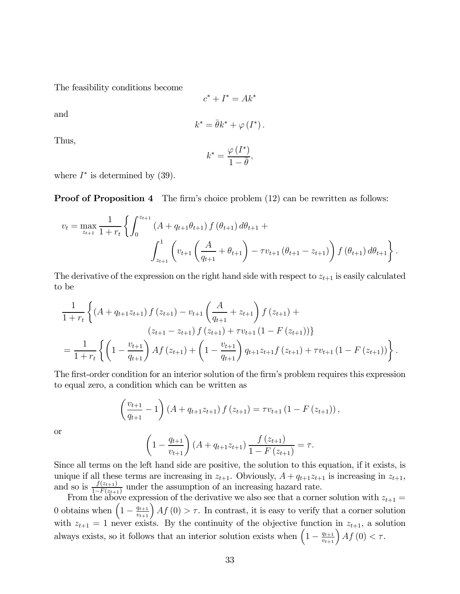The feasibility conditions become

$$
c^* + I^* = Ak^*
$$

and

$$
k^* = \bar{\theta}k^* + \varphi(I^*).
$$

Thus,

$$
k^* = \frac{\varphi\left(I^*\right)}{1 - \overline{\theta}},
$$

where  $I^*$  is determined by (39).

**Proof of Proposition 4** The firm's choice problem (12) can be rewritten as follows:

$$
v_{t} = \max_{z_{t+1}} \frac{1}{1+r_{t}} \left\{ \int_{0}^{z_{t+1}} \left( A + q_{t+1} \theta_{t+1} \right) f\left(\theta_{t+1}\right) d\theta_{t+1} + \int_{z_{t+1}}^{1} \left( v_{t+1} \left( \frac{A}{q_{t+1}} + \theta_{t+1} \right) - \tau v_{t+1} \left(\theta_{t+1} - z_{t+1} \right) \right) f\left(\theta_{t+1}\right) d\theta_{t+1} \right\}.
$$

The derivative of the expression on the right hand side with respect to  $z_{t+1}$  is easily calculated to be

$$
\frac{1}{1+r_t} \left\{ \left( A + q_{t+1}z_{t+1} \right) f \left( z_{t+1} \right) - v_{t+1} \left( \frac{A}{q_{t+1}} + z_{t+1} \right) f \left( z_{t+1} \right) + \right.\n\left( z_{t+1} - z_{t+1} \right) f \left( z_{t+1} \right) + \tau v_{t+1} \left( 1 - F \left( z_{t+1} \right) \right) \right\}\n= \frac{1}{1+r_t} \left\{ \left( 1 - \frac{v_{t+1}}{q_{t+1}} \right) A f \left( z_{t+1} \right) + \left( 1 - \frac{v_{t+1}}{q_{t+1}} \right) q_{t+1} z_{t+1} f \left( z_{t+1} \right) + \tau v_{t+1} \left( 1 - F \left( z_{t+1} \right) \right) \right\}.
$$

The first-order condition for an interior solution of the firm's problem requires this expression to equal zero, a condition which can be written as

$$
\left(\frac{v_{t+1}}{q_{t+1}}-1\right)\left(A+q_{t+1}z_{t+1}\right)f\left(z_{t+1}\right)=\tau v_{t+1}\left(1-F\left(z_{t+1}\right)\right),\,
$$

or

$$
\left(1 - \frac{q_{t+1}}{v_{t+1}}\right) \left(A + q_{t+1}z_{t+1}\right) \frac{f(z_{t+1})}{1 - F(z_{t+1})} = \tau.
$$

Since all terms on the left hand side are positive, the solution to this equation, if it exists, is unique if all these terms are increasing in  $z_{t+1}$ . Obviously,  $A + q_{t+1}z_{t+1}$  is increasing in  $z_{t+1}$ , and so is  $\frac{f(z_{t+1})}{1-F(z_{t+1})}$  under the assumption of an increasing hazard rate.

From the above expression of the derivative we also see that a corner solution with  $z_{t+1} =$ 0 obtains when  $\left(1 - \frac{q_{t+1}}{v_{t+1}}\right) Af(0) > \tau$ . In contrast, it is easy to verify that a corner solution with  $z_{t+1} = 1$  never exists. By the continuity of the objective function in  $z_{t+1}$ , a solution always exists, so it follows that an interior solution exists when  $\left(1 - \frac{q_{t+1}}{v_{t+1}}\right) A f(0) < \tau$ .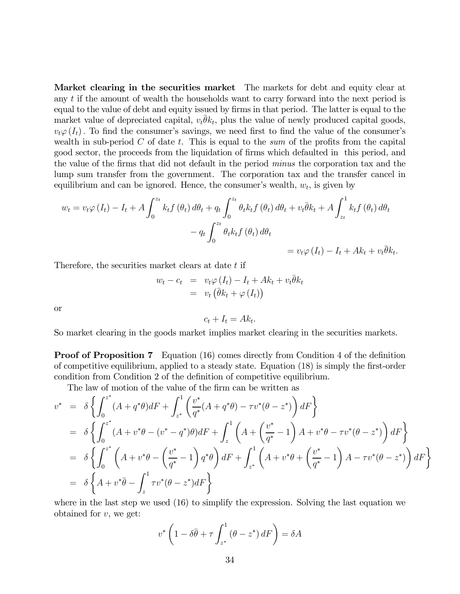Market clearing in the securities market The markets for debt and equity clear at any  $t$  if the amount of wealth the households want to carry forward into the next period is equal to the value of debt and equity issued by firms in that period. The latter is equal to the market value of depreciated capital,  $v_t \overline{\theta} k_t$ , plus the value of newly produced capital goods,  $v_t\varphi(I_t)$ . To find the consumer's savings, we need first to find the value of the consumer's wealth in sub-period  $C$  of date  $t$ . This is equal to the sum of the profits from the capital good sector, the proceeds from the liquidation of firms which defaulted in this period, and the value of the firms that did not default in the period minus the corporation tax and the lump sum transfer from the government. The corporation tax and the transfer cancel in equilibrium and can be ignored. Hence, the consumer's wealth,  $w_t$ , is given by

$$
w_t = v_t \varphi(I_t) - I_t + A \int_0^{z_t} k_t f(\theta_t) d\theta_t + q_t \int_0^{z_t} \theta_t k_t f(\theta_t) d\theta_t + v_t \overline{\theta} k_t + A \int_{z_t}^1 k_t f(\theta_t) d\theta_t
$$
  

$$
- q_t \int_0^{z_t} \theta_t k_t f(\theta_t) d\theta_t
$$
  

$$
= v_t \varphi(I_t) - I_t + Ak_t + v_t \overline{\theta} k_t.
$$

Therefore, the securities market clears at date t if

$$
w_t - c_t = v_t \varphi(I_t) - I_t + Ak_t + v_t \overline{\theta} k_t
$$
  
=  $v_t (\overline{\theta} k_t + \varphi(I_t))$ 

or

$$
c_t + I_t = Ak_t.
$$

So market clearing in the goods market implies market clearing in the securities markets.

**Proof of Proposition 7** Equation (16) comes directly from Condition 4 of the definition of competitive equilibrium, applied to a steady state. Equation (18) is simply the first-order condition from Condition 2 of the definition of competitive equilibrium.

The law of motion of the value of the firm can be written as

$$
v^* = \delta \left\{ \int_0^{z^*} (A + q^* \theta) dF + \int_{z^*}^1 \left( \frac{v^*}{q^*} (A + q^* \theta) - \tau v^* (\theta - z^*) \right) dF \right\}
$$
  
\n
$$
= \delta \left\{ \int_0^{z^*} (A + v^* \theta - (v^* - q^*) \theta) dF + \int_z^1 \left( A + \left( \frac{v^*}{q^*} - 1 \right) A + v^* \theta - \tau v^* (\theta - z^*) \right) dF \right\}
$$
  
\n
$$
= \delta \left\{ \int_0^{z^*} \left( A + v^* \theta - \left( \frac{v^*}{q^*} - 1 \right) q^* \theta \right) dF + \int_{z^*}^1 \left( A + v^* \theta + \left( \frac{v^*}{q^*} - 1 \right) A - \tau v^* (\theta - z^*) \right) dF \right\}
$$
  
\n
$$
= \delta \left\{ A + v^* \overline{\theta} - \int_z^1 \tau v^* (\theta - z^*) dF \right\}
$$

where in the last step we used  $(16)$  to simplify the expression. Solving the last equation we obtained for  $v$ , we get:

$$
v^* \left( 1 - \delta \overline{\theta} + \tau \int_{z^*}^1 (\theta - z^*) dF \right) = \delta A
$$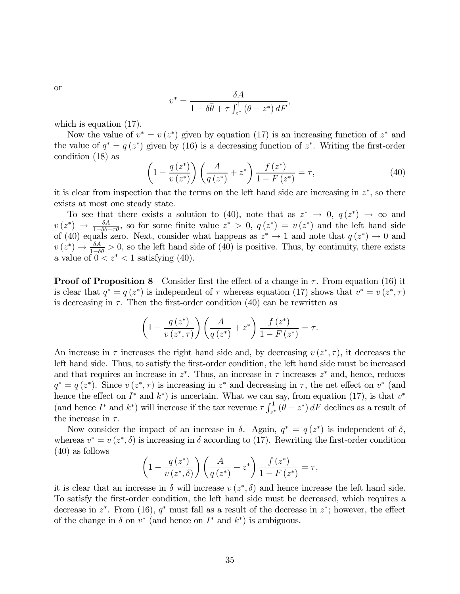or

$$
v^* = \frac{\delta A}{1 - \delta \bar{\theta} + \tau \int_{z^*}^1 (\theta - z^*) dF},
$$

which is equation (17).

Now the value of  $v^* = v(z^*)$  given by equation (17) is an increasing function of  $z^*$  and the value of  $q^* = q(z^*)$  given by (16) is a decreasing function of  $z^*$ . Writing the first-order condition (18) as

$$
\left(1 - \frac{q(z^*)}{v(z^*)}\right) \left(\frac{A}{q(z^*)} + z^*\right) \frac{f(z^*)}{1 - F(z^*)} = \tau,\tag{40}
$$

it is clear from inspection that the terms on the left hand side are increasing in  $z^*$ , so there exists at most one steady state.

To see that there exists a solution to (40), note that as  $z^* \to 0$ ,  $q(z^*) \to \infty$  and  $v(z^*) \rightarrow \frac{\delta A}{1-\delta \theta+\tau \theta}$ , so for some finite value  $z^* > 0$ ,  $q(z^*) = v(z^*)$  and the left hand side of (40) equals zero. Next, consider what happens as  $z^* \to 1$  and note that  $q(z^*) \to 0$  and  $v(z^*) \to \frac{\delta A}{1-\delta \theta} > 0$ , so the left hand side of (40) is positive. Thus, by continuity, there exists a value of  $0 < z^* < 1$  satisfying (40).

**Proof of Proposition 8** Consider first the effect of a change in  $\tau$ . From equation (16) it is clear that  $q^* = q(z^*)$  is independent of  $\tau$  whereas equation (17) shows that  $v^* = v(z^*, \tau)$ is decreasing in  $\tau$ . Then the first-order condition (40) can be rewritten as

$$
\left(1 - \frac{q\left(z^*\right)}{v\left(z^*, \tau\right)}\right)\left(\frac{A}{q\left(z^*\right)} + z^*\right) \frac{f\left(z^*\right)}{1 - F\left(z^*\right)} = \tau.
$$

An increase in  $\tau$  increases the right hand side and, by decreasing  $v(z^*, \tau)$ , it decreases the left hand side. Thus, to satisfy the first-order condition, the left hand side must be increased and that requires an increase in  $z^*$ . Thus, an increase in  $\tau$  increases  $z^*$  and, hence, reduces  $q^* = q(z^*)$ . Since  $v(z^*, \tau)$  is increasing in  $z^*$  and decreasing in  $\tau$ , the net effect on  $v^*$  (and hence the effect on  $I^*$  and  $k^*$ ) is uncertain. What we can say, from equation (17), is that  $v^*$ (and hence  $I^*$  and  $k^*$ ) will increase if the tax revenue  $\tau \int_{z^*}^1 (\theta - z^*) dF$  declines as a result of the increase in  $\tau$ .

Now consider the impact of an increase in  $\delta$ . Again,  $q^* = q(z^*)$  is independent of  $\delta$ , whereas  $v^* = v(z^*, \delta)$  is increasing in  $\delta$  according to (17). Rewriting the first-order condition (40) as follows

$$
\left(1 - \frac{q\left(z^*\right)}{v\left(z^*,\delta\right)}\right)\left(\frac{A}{q\left(z^*\right)} + z^*\right)\frac{f\left(z^*\right)}{1 - F\left(z^*\right)} = \tau,
$$

it is clear that an increase in  $\delta$  will increase  $v(z^*, \delta)$  and hence increase the left hand side. To satisfy the first-order condition, the left hand side must be decreased, which requires a decrease in  $z^*$ . From (16),  $q^*$  must fall as a result of the decrease in  $z^*$ ; however, the effect of the change in  $\delta$  on  $v^*$  (and hence on  $I^*$  and  $k^*$ ) is ambiguous.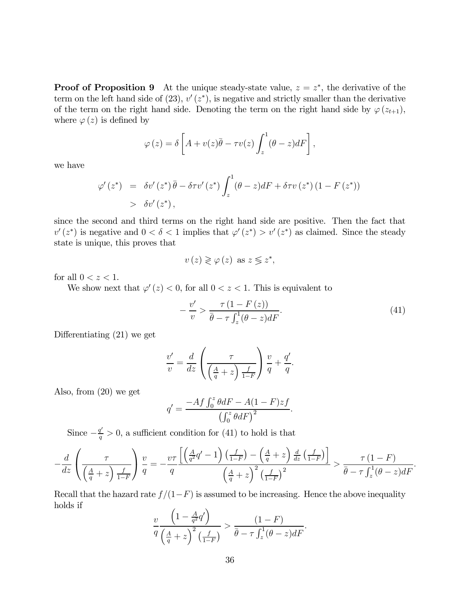**Proof of Proposition 9** At the unique steady-state value,  $z = z^*$ , the derivative of the term on the left hand side of  $(23)$ ,  $v'(z^*)$ , is negative and strictly smaller than the derivative of the term on the right hand side. Denoting the term on the right hand side by  $\varphi(z_{t+1}),$ where  $\varphi(z)$  is defined by

$$
\varphi(z) = \delta \left[ A + v(z)\overline{\theta} - \tau v(z) \int_z^1 (\theta - z) dF \right],
$$

we have

$$
\varphi'(z^*) = \delta v'(z^*) \bar{\theta} - \delta \tau v'(z^*) \int_z^1 (\theta - z) dF + \delta \tau v(z^*) (1 - F(z^*))
$$
  
>  $\delta v'(z^*)$ ,

since the second and third terms on the right hand side are positive. Then the fact that  $v'(z^*)$  is negative and  $0 < \delta < 1$  implies that  $\varphi'(z^*) > v'(z^*)$  as claimed. Since the steady state is unique, this proves that

$$
v(z) \gtrless \varphi(z) \text{ as } z \lessgtr z^*,
$$

for all  $0 < z < 1$ .

We show next that  $\varphi'(z) < 0$ , for all  $0 < z < 1$ . This is equivalent to

$$
-\frac{v'}{v} > \frac{\tau (1 - F(z))}{\bar{\theta} - \tau \int_z^1 (\theta - z) dF}.
$$
\n(41)

Differentiating (21) we get

$$
\frac{v'}{v} = \frac{d}{dz} \left( \frac{\tau}{\left(\frac{A}{q} + z\right) \frac{f}{1-F}} \right) \frac{v}{q} + \frac{q'}{q}.
$$

Also, from (20) we get

$$
q' = \frac{-Af \int_0^z \theta dF - A(1 - F)zf}{\left(\int_0^z \theta dF\right)^2}.
$$

Since  $-\frac{q'}{q} > 0$ , a sufficient condition for (41) to hold is that

$$
-\frac{d}{dz}\left(\frac{\tau}{\left(\frac{A}{q}+z\right)\frac{f}{1-F}}\right)\frac{v}{q} = -\frac{v\tau}{q}\frac{\left[\left(\frac{A}{q^{2}}q'-1\right)\left(\frac{f}{1-F}\right)-\left(\frac{A}{q}+z\right)\frac{d}{dz}\left(\frac{f}{1-F}\right)\right]}{\left(\frac{A}{q}+z\right)^{2}\left(\frac{f}{1-F}\right)^{2}} > \frac{\tau\left(1-F\right)}{\bar{\theta}-\tau\int_{z}^{1}(\theta-z)dF}.
$$

Recall that the hazard rate  $f/(1-F)$  is assumed to be increasing. Hence the above inequality holds if

$$
\frac{v}{q} \frac{\left(1 - \frac{A}{q^2}q'\right)}{\left(\frac{A}{q} + z\right)^2 \left(\frac{f}{1 - F}\right)} > \frac{\left(1 - F\right)}{\bar{\theta} - \tau \int_z^1 (\theta - z) dF}.
$$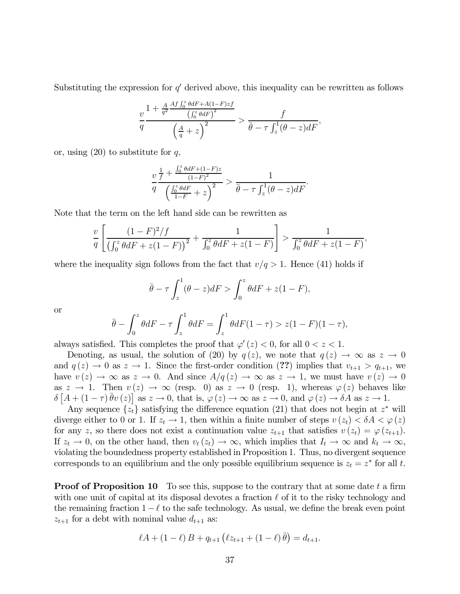Substituting the expression for  $q'$  derived above, this inequality can be rewritten as follows

$$
\frac{v}{q} \frac{1 + \frac{A}{q^2} \frac{Af \int_0^z \theta dF + A(1-F)zf}{\left(\int_0^z \theta dF\right)^2}}{\left(\frac{A}{q} + z\right)^2} > \frac{f}{\bar{\theta} - \tau \int_z^1 (\theta - z) dF},
$$

or, using  $(20)$  to substitute for q,

$$
\frac{v\frac{1}{f} + \frac{\int_0^z \theta dF + (1-F)z}{(1-F)^2}}{\left(\frac{\int_0^z \theta dF}{1-F} + z\right)^2} > \frac{1}{\bar{\theta} - \tau \int_z^1 (\theta - z) dF}.
$$

Note that the term on the left hand side can be rewritten as

$$
\frac{v}{q} \left[ \frac{(1-F)^2/f}{\left(\int_0^z \theta dF + z(1-F)\right)^2} + \frac{1}{\int_0^z \theta dF + z(1-F)} \right] > \frac{1}{\int_0^z \theta dF + z(1-F)},
$$

where the inequality sign follows from the fact that  $v/q > 1$ . Hence (41) holds if

$$
\overline{\theta}-\tau\int_{z}^{1}(\theta-z)dF > \int_{0}^{z}\theta dF + z(1-F),
$$

or

$$
\bar{\theta} - \int_0^z \theta dF - \tau \int_z^1 \theta dF = \int_z^1 \theta dF (1 - \tau) > z(1 - F)(1 - \tau),
$$

always satisfied. This completes the proof that  $\varphi'(z) < 0$ , for all  $0 < z < 1$ .

Denoting, as usual, the solution of (20) by  $q(z)$ , we note that  $q(z) \to \infty$  as  $z \to 0$ and  $q(z) \to 0$  as  $z \to 1$ . Since the first-order condition (??) implies that  $v_{t+1} > q_{t+1}$ , we have  $v(z) \to \infty$  as  $z \to 0$ . And since  $A/q(z) \to \infty$  as  $z \to 1$ , we must have  $v(z) \to 0$ as  $z \to 1$ . Then  $v(z) \to \infty$  (resp. 0) as  $z \to 0$  (resp. 1), whereas  $\varphi(z)$  behaves like  $\delta\left[A + (1-\tau)\bar{\theta}v(z)\right]$  as  $z \to 0$ , that is,  $\varphi(z) \to \infty$  as  $z \to 0$ , and  $\varphi(z) \to \delta A$  as  $z \to 1$ .

Any sequence  $\{z_t\}$  satisfying the difference equation (21) that does not begin at  $z^*$  will diverge either to 0 or 1. If  $z_t \to 1$ , then within a finite number of steps  $v(z_t) < \delta A < \varphi(z)$ for any z, so there does not exist a continuation value  $z_{t+1}$  that satisfies  $v(z_t) = \varphi(z_{t+1})$ . If  $z_t \to 0$ , on the other hand, then  $v_t(z_t) \to \infty$ , which implies that  $I_t \to \infty$  and  $k_t \to \infty$ , violating the boundedness property established in Proposition 1. Thus, no divergent sequence corresponds to an equilibrium and the only possible equilibrium sequence is  $z_t = z^*$  for all t.

**Proof of Proposition 10** To see this, suppose to the contrary that at some date  $t$  a firm with one unit of capital at its disposal devotes a fraction  $\ell$  of it to the risky technology and the remaining fraction  $1-\ell$  to the safe technology. As usual, we define the break even point  $z_{t+1}$  for a debt with nominal value  $d_{t+1}$  as:

$$
\ell A + (1 - \ell) B + q_{t+1} (\ell z_{t+1} + (1 - \ell) \bar{\theta}) = d_{t+1}.
$$